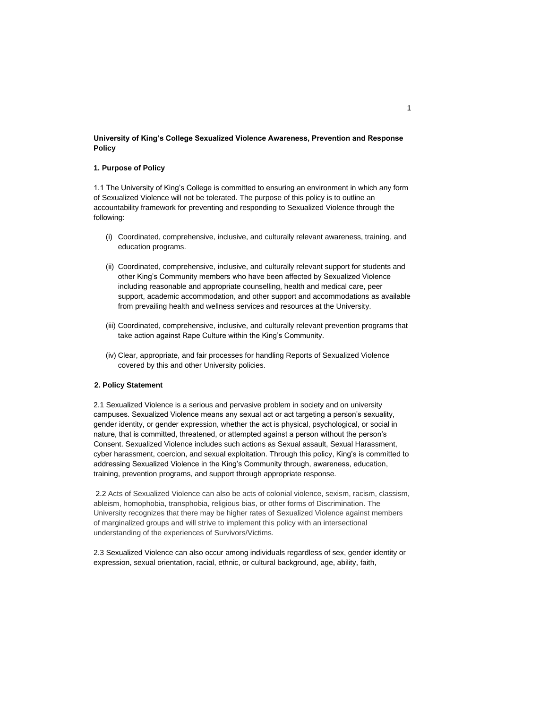## **University of King's College Sexualized Violence Awareness, Prevention and Response Policy**

## **1. Purpose of Policy**

1.1 The University of King's College is committed to ensuring an environment in which any form of Sexualized Violence will not be tolerated. The purpose of this policy is to outline an accountability framework for preventing and responding to Sexualized Violence through the following:

- (i) Coordinated, comprehensive, inclusive, and culturally relevant awareness, training, and education programs.
- (ii) Coordinated, comprehensive, inclusive, and culturally relevant support for students and other King's Community members who have been affected by Sexualized Violence including reasonable and appropriate counselling, health and medical care, peer support, academic accommodation, and other support and accommodations as available from prevailing health and wellness services and resources at the University.
- (iii) Coordinated, comprehensive, inclusive, and culturally relevant prevention programs that take action against Rape Culture within the King's Community.
- (iv) Clear, appropriate, and fair processes for handling Reports of Sexualized Violence covered by this and other University policies.

### **2. Policy Statement**

2.1 Sexualized Violence is a serious and pervasive problem in society and on university campuses. Sexualized Violence means any sexual act or act targeting a person's sexuality, gender identity, or gender expression, whether the act is physical, psychological, or social in nature, that is committed, threatened, or attempted against a person without the person's Consent. Sexualized Violence includes such actions as Sexual assault, Sexual Harassment, cyber harassment, coercion, and sexual exploitation. Through this policy, King's is committed to addressing Sexualized Violence in the King's Community through, awareness, education, training, prevention programs, and support through appropriate response.

2.2 Acts of Sexualized Violence can also be acts of colonial violence, sexism, racism, classism, ableism, homophobia, transphobia, religious bias, or other forms of Discrimination. The University recognizes that there may be higher rates of Sexualized Violence against members of marginalized groups and will strive to implement this policy with an intersectional understanding of the experiences of Survivors/Victims.

2.3 Sexualized Violence can also occur among individuals regardless of sex, gender identity or expression, sexual orientation, racial, ethnic, or cultural background, age, ability, faith,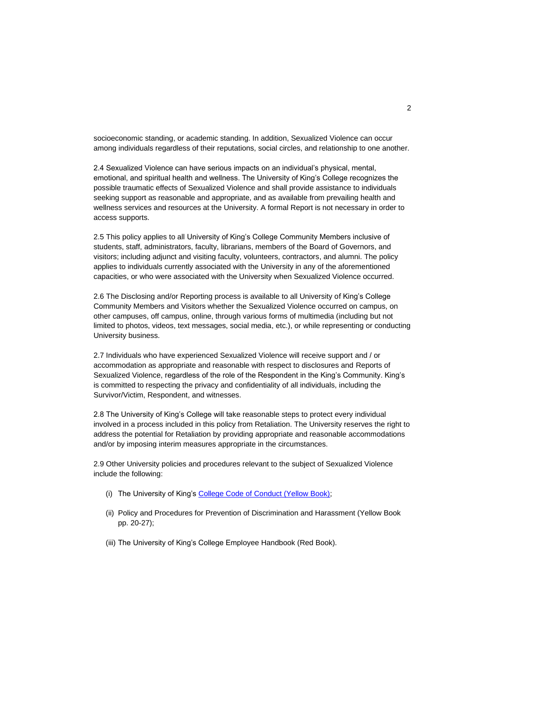socioeconomic standing, or academic standing. In addition, Sexualized Violence can occur among individuals regardless of their reputations, social circles, and relationship to one another.

2.4 Sexualized Violence can have serious impacts on an individual's physical, mental, emotional, and spiritual health and wellness. The University of King's College recognizes the possible traumatic effects of Sexualized Violence and shall provide assistance to individuals seeking support as reasonable and appropriate, and as available from prevailing health and wellness services and resources at the University. A formal Report is not necessary in order to access supports.

2.5 This policy applies to all University of King's College Community Members inclusive of students, staff, administrators, faculty, librarians, members of the Board of Governors, and visitors; including adjunct and visiting faculty, volunteers, contractors, and alumni. The policy applies to individuals currently associated with the University in any of the aforementioned capacities, or who were associated with the University when Sexualized Violence occurred.

2.6 The Disclosing and/or Reporting process is available to all University of King's College Community Members and Visitors whether the Sexualized Violence occurred on campus, on other campuses, off campus, online, through various forms of multimedia (including but not limited to photos, videos, text messages, social media, etc.), or while representing or conducting University business.

2.7 Individuals who have experienced Sexualized Violence will receive support and / or accommodation as appropriate and reasonable with respect to disclosures and Reports of Sexualized Violence, regardless of the role of the Respondent in the King's Community. King's is committed to respecting the privacy and confidentiality of all individuals, including the Survivor/Victim, Respondent, and witnesses.

2.8 The University of King's College will take reasonable steps to protect every individual involved in a process included in this policy from Retaliation. The University reserves the right to address the potential for Retaliation by providing appropriate and reasonable accommodations and/or by imposing interim measures appropriate in the circumstances.

2.9 Other University policies and procedures relevant to the subject of Sexualized Violence include the following:

- (i) The Unive[rsity of King's College Code of Conduct \(Y](https://policies.ukings.ca/wp-content/uploads/2017/01/YellowBook.pdf)ellow Book);
- (ii) Policy and Procedures for Prevention of Discrimination and Harassment (Yellow Book pp. 20-27);
- (iii) The University of King's College Employee Handbook (Red Book).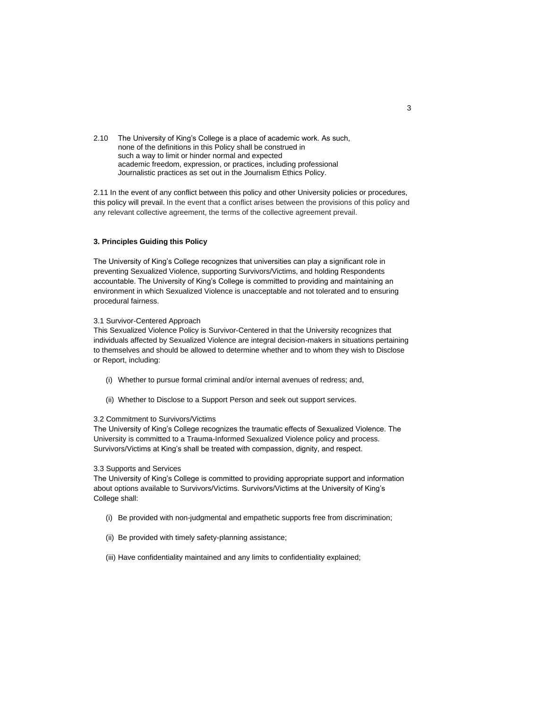2.10 The University of King's College is a place of academic work. As such, none of the definitions in this Policy shall be construed in such a way to limit or hinder normal and expected academic freedom, expression, or practices, including professional Journalistic practices as set out in the Journalism Ethics Policy.

2.11 In the event of any conflict between this policy and other University policies or procedures, this policy will prevail. In the event that a conflict arises between the provisions of this policy and any relevant collective agreement, the terms of the collective agreement prevail.

## **3. Principles Guiding this Policy**

The University of King's College recognizes that universities can play a significant role in preventing Sexualized Violence, supporting Survivors/Victims, and holding Respondents accountable. The University of King's College is committed to providing and maintaining an environment in which Sexualized Violence is unacceptable and not tolerated and to ensuring procedural fairness.

#### 3.1 Survivor-Centered Approach

This Sexualized Violence Policy is Survivor-Centered in that the University recognizes that individuals affected by Sexualized Violence are integral decision-makers in situations pertaining to themselves and should be allowed to determine whether and to whom they wish to Disclose or Report, including:

- (i) Whether to pursue formal criminal and/or internal avenues of redress; and,
- (ii) Whether to Disclose to a Support Person and seek out support services.

## 3.2 Commitment to Survivors/Victims

The University of King's College recognizes the traumatic effects of Sexualized Violence. The University is committed to a Trauma-Informed Sexualized Violence policy and process. Survivors/Victims at King's shall be treated with compassion, dignity, and respect.

#### 3.3 Supports and Services

The University of King's College is committed to providing appropriate support and information about options available to Survivors/Victims. Survivors/Victims at the University of King's College shall:

- (i) Be provided with non-judgmental and empathetic supports free from discrimination;
- (ii) Be provided with timely safety-planning assistance;
- (iii) Have confidentiality maintained and any limits to confidentiality explained;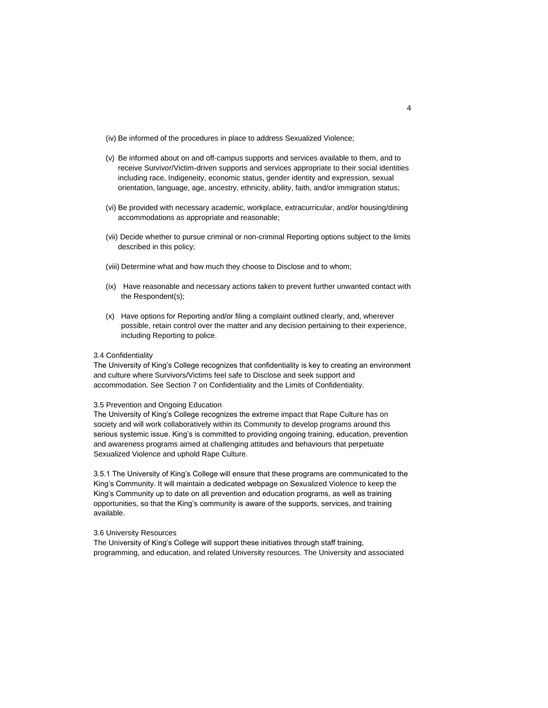(iv) Be informed of the procedures in place to address Sexualized Violence;

- (v) Be informed about on and off-campus supports and services available to them, and to receive Survivor/Victim-driven supports and services appropriate to their social identities including race, Indigeneity, economic status, gender identity and expression, sexual orientation, language, age, ancestry, ethnicity, ability, faith, and/or immigration status;
- (vi) Be provided with necessary academic, workplace, extracurricular, and/or housing/dining accommodations as appropriate and reasonable;
- (vii) Decide whether to pursue criminal or non-criminal Reporting options subject to the limits described in this policy;
- (viii) Determine what and how much they choose to Disclose and to whom;
- (ix) Have reasonable and necessary actions taken to prevent further unwanted contact with the Respondent(s);
- (x) Have options for Reporting and/or filing a complaint outlined clearly, and, wherever possible, retain control over the matter and any decision pertaining to their experience, including Reporting to police.

#### 3.4 Confidentiality

The University of King's College recognizes that confidentiality is key to creating an environment and culture where Survivors/Victims feel safe to Disclose and seek support and accommodation. See Section 7 on Confidentiality and the Limits of Confidentiality.

### 3.5 Prevention and Ongoing Education

The University of King's College recognizes the extreme impact that Rape Culture has on society and will work collaboratively within its Community to develop programs around this serious systemic issue. King's is committed to providing ongoing training, education, prevention and awareness programs aimed at challenging attitudes and behaviours that perpetuate Sexualized Violence and uphold Rape Culture.

3.5.1 The University of King's College will ensure that these programs are communicated to the King's Community. It will maintain a dedicated webpage on Sexualized Violence to keep the King's Community up to date on all prevention and education programs, as well as training opportunities, so that the King's community is aware of the supports, services, and training available.

#### 3.6 University Resources

The University of King's College will support these initiatives through staff training, programming, and education, and related University resources. The University and associated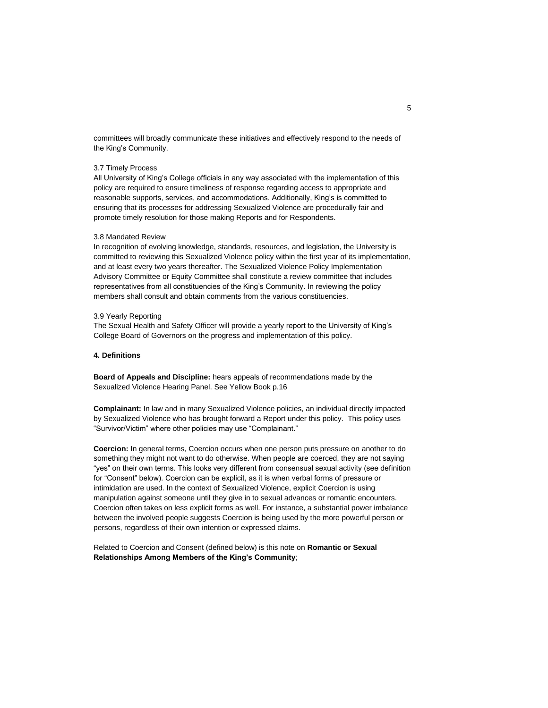committees will broadly communicate these initiatives and effectively respond to the needs of the King's Community.

### 3.7 Timely Process

All University of King's College officials in any way associated with the implementation of this policy are required to ensure timeliness of response regarding access to appropriate and reasonable supports, services, and accommodations. Additionally, King's is committed to ensuring that its processes for addressing Sexualized Violence are procedurally fair and promote timely resolution for those making Reports and for Respondents.

#### 3.8 Mandated Review

In recognition of evolving knowledge, standards, resources, and legislation, the University is committed to reviewing this Sexualized Violence policy within the first year of its implementation, and at least every two years thereafter. The Sexualized Violence Policy Implementation Advisory Committee or Equity Committee shall constitute a review committee that includes representatives from all constituencies of the King's Community. In reviewing the policy members shall consult and obtain comments from the various constituencies.

#### 3.9 Yearly Reporting

The Sexual Health and Safety Officer will provide a yearly report to the University of King's College Board of Governors on the progress and implementation of this policy.

#### **4. Definitions**

**Board of Appeals and Discipline:** hears appeals of recommendations made by the Sexualized Violence Hearing Panel. See Yellow Book p.16

**Complainant:** In law and in many Sexualized Violence policies, an individual directly impacted by Sexualized Violence who has brought forward a Report under this policy. This policy uses "Survivor/Victim" where other policies may use "Complainant."

**Coercion:** In general terms, Coercion occurs when one person puts pressure on another to do something they might not want to do otherwise. When people are coerced, they are not saying "yes" on their own terms. This looks very different from consensual sexual activity (see definition for "Consent" below). Coercion can be explicit, as it is when verbal forms of pressure or intimidation are used. In the context of Sexualized Violence, explicit Coercion is using manipulation against someone until they give in to sexual advances or romantic encounters. Coercion often takes on less explicit forms as well. For instance, a substantial power imbalance between the involved people suggests Coercion is being used by the more powerful person or persons, regardless of their own intention or expressed claims.

Related to Coercion and Consent (defined below) is this note on **Romantic or Sexual Relationships Among Members of the King's Community**;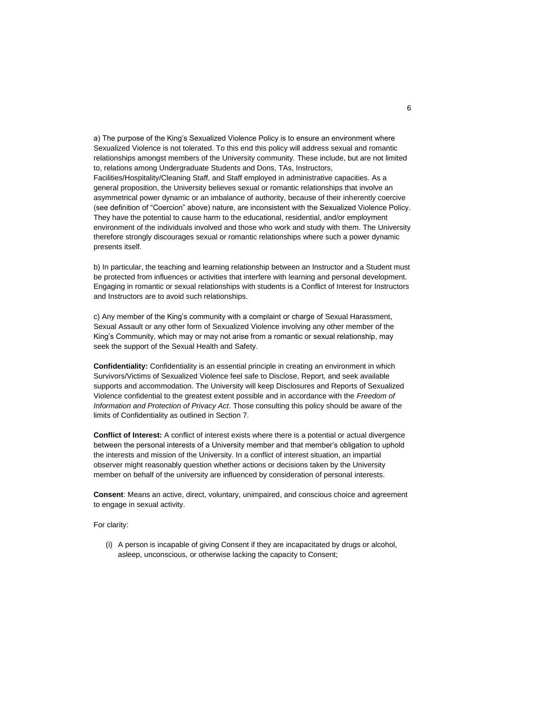a) The purpose of the King's Sexualized Violence Policy is to ensure an environment where Sexualized Violence is not tolerated. To this end this policy will address sexual and romantic relationships amongst members of the University community. These include, but are not limited to, relations among Undergraduate Students and Dons, TAs, Instructors, Facilities/Hospitality/Cleaning Staff, and Staff employed in administrative capacities. As a general proposition, the University believes sexual or romantic relationships that involve an asymmetrical power dynamic or an imbalance of authority, because of their inherently coercive (see definition of "Coercion" above) nature, are inconsistent with the Sexualized Violence Policy. They have the potential to cause harm to the educational, residential, and/or employment environment of the individuals involved and those who work and study with them. The University therefore strongly discourages sexual or romantic relationships where such a power dynamic presents itself.

b) In particular, the teaching and learning relationship between an Instructor and a Student must be protected from influences or activities that interfere with learning and personal development. Engaging in romantic or sexual relationships with students is a Conflict of Interest for Instructors and Instructors are to avoid such relationships.

c) Any member of the King's community with a complaint or charge of Sexual Harassment, Sexual Assault or any other form of Sexualized Violence involving any other member of the King's Community, which may or may not arise from a romantic or sexual relationship, may seek the support of the Sexual Health and Safety.

**Confidentiality:** Confidentiality is an essential principle in creating an environment in which Survivors/Victims of Sexualized Violence feel safe to Disclose, Report, and seek available supports and accommodation. The University will keep Disclosures and Reports of Sexualized Violence confidential to the greatest extent possible and in accordance with the *Freedom of Information and Protection of Privacy Act*. Those consulting this policy should be aware of the limits of Confidentiality as outlined in Section 7.

**Conflict of Interest:** A conflict of interest exists where there is a potential or actual divergence between the personal interests of a University member and that member's obligation to uphold the interests and mission of the University. In a conflict of interest situation, an impartial observer might reasonably question whether actions or decisions taken by the University member on behalf of the university are influenced by consideration of personal interests.

**Consent**: Means an active, direct, voluntary, unimpaired, and conscious choice and agreement to engage in sexual activity.

For clarity:

(i) A person is incapable of giving Consent if they are incapacitated by drugs or alcohol, asleep, unconscious, or otherwise lacking the capacity to Consent;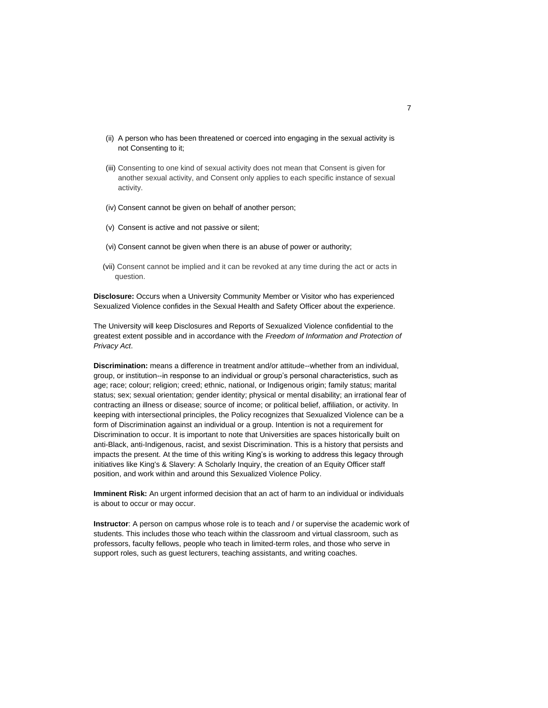- (ii) A person who has been threatened or coerced into engaging in the sexual activity is not Consenting to it;
- (iii) Consenting to one kind of sexual activity does not mean that Consent is given for another sexual activity, and Consent only applies to each specific instance of sexual activity.
- (iv) Consent cannot be given on behalf of another person;
- (v) Consent is active and not passive or silent;
- (vi) Consent cannot be given when there is an abuse of power or authority;
- (vii) Consent cannot be implied and it can be revoked at any time during the act or acts in question.

**Disclosure:** Occurs when a University Community Member or Visitor who has experienced Sexualized Violence confides in the Sexual Health and Safety Officer about the experience.

The University will keep Disclosures and Reports of Sexualized Violence confidential to the greatest extent possible and in accordance with the *Freedom of Information and Protection of Privacy Act*.

**Discrimination:** means a difference in treatment and/or attitude--whether from an individual, group, or institution--in response to an individual or group's personal characteristics, such as age; race; colour; religion; creed; ethnic, national, or Indigenous origin; family status; marital status; sex; sexual orientation; gender identity; physical or mental disability; an irrational fear of contracting an illness or disease; source of income; or political belief, affiliation, or activity. In keeping with intersectional principles, the Policy recognizes that Sexualized Violence can be a form of Discrimination against an individual or a group. Intention is not a requirement for Discrimination to occur. It is important to note that Universities are spaces historically built on anti-Black, anti-Indigenous, racist, and sexist Discrimination. This is a history that persists and impacts the present. At the time of this writing King's is working to address this legacy through initiatives like King's & Slavery: A Scholarly Inquiry, the creation of an Equity Officer staff position, and work within and around this Sexualized Violence Policy.

**Imminent Risk:** An urgent informed decision that an act of harm to an individual or individuals is about to occur or may occur.

**Instructor**: A person on campus whose role is to teach and / or supervise the academic work of students. This includes those who teach within the classroom and virtual classroom, such as professors, faculty fellows, people who teach in limited-term roles, and those who serve in support roles, such as guest lecturers, teaching assistants, and writing coaches.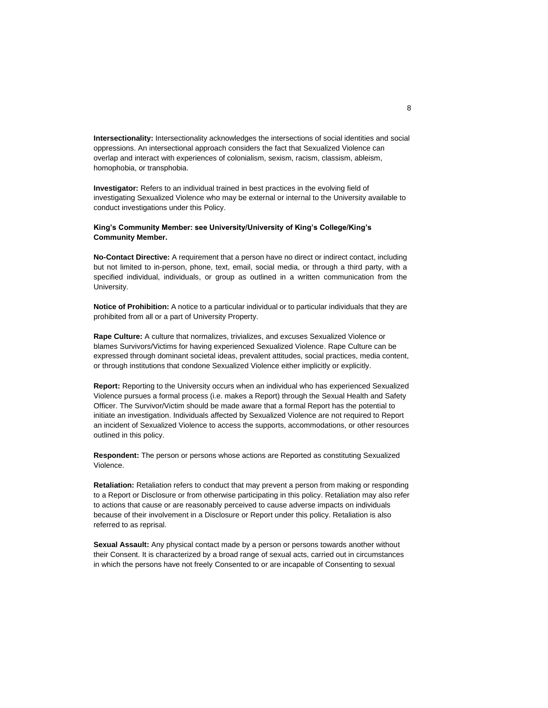**Intersectionality:** Intersectionality acknowledges the intersections of social identities and social oppressions. An intersectional approach considers the fact that Sexualized Violence can overlap and interact with experiences of colonialism, sexism, racism, classism, ableism, homophobia, or transphobia.

**Investigator:** Refers to an individual trained in best practices in the evolving field of investigating Sexualized Violence who may be external or internal to the University available to conduct investigations under this Policy.

## **King's Community Member: see University/University of King's College/King's Community Member.**

**No-Contact Directive:** A requirement that a person have no direct or indirect contact, including but not limited to in-person, phone, text, email, social media, or through a third party, with a specified individual, individuals, or group as outlined in a written communication from the University.

**Notice of Prohibition:** A notice to a particular individual or to particular individuals that they are prohibited from all or a part of University Property.

**Rape Culture:** A culture that normalizes, trivializes, and excuses Sexualized Violence or blames Survivors/Victims for having experienced Sexualized Violence. Rape Culture can be expressed through dominant societal ideas, prevalent attitudes, social practices, media content, or through institutions that condone Sexualized Violence either implicitly or explicitly.

**Report:** Reporting to the University occurs when an individual who has experienced Sexualized Violence pursues a formal process (i.e. makes a Report) through the Sexual Health and Safety Officer. The Survivor/Victim should be made aware that a formal Report has the potential to initiate an investigation. Individuals affected by Sexualized Violence are not required to Report an incident of Sexualized Violence to access the supports, accommodations, or other resources outlined in this policy.

**Respondent:** The person or persons whose actions are Reported as constituting Sexualized Violence.

**Retaliation:** Retaliation refers to conduct that may prevent a person from making or responding to a Report or Disclosure or from otherwise participating in this policy. Retaliation may also refer to actions that cause or are reasonably perceived to cause adverse impacts on individuals because of their involvement in a Disclosure or Report under this policy. Retaliation is also referred to as reprisal.

**Sexual Assault:** Any physical contact made by a person or persons towards another without their Consent. It is characterized by a broad range of sexual acts, carried out in circumstances in which the persons have not freely Consented to or are incapable of Consenting to sexual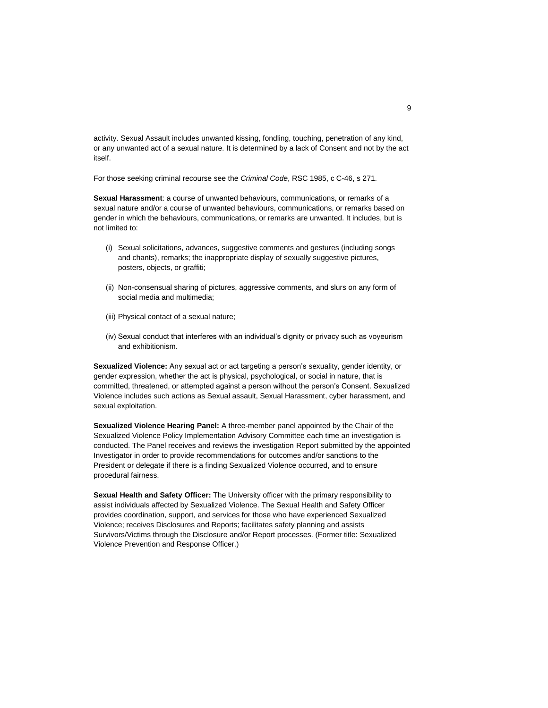activity. Sexual Assault includes unwanted kissing, fondling, touching, penetration of any kind, or any unwanted act of a sexual nature. It is determined by a lack of Consent and not by the act itself.

For those seeking criminal recourse see the *Criminal Code*, RSC 1985, c C-46, s 271.

**Sexual Harassment**: a course of unwanted behaviours, communications, or remarks of a sexual nature and/or a course of unwanted behaviours, communications, or remarks based on gender in which the behaviours, communications, or remarks are unwanted. It includes, but is not limited to:

- (i) Sexual solicitations, advances, suggestive comments and gestures (including songs and chants), remarks; the inappropriate display of sexually suggestive pictures, posters, objects, or graffiti;
- (ii) Non-consensual sharing of pictures, aggressive comments, and slurs on any form of social media and multimedia;
- (iii) Physical contact of a sexual nature;
- (iv) Sexual conduct that interferes with an individual's dignity or privacy such as voyeurism and exhibitionism.

**Sexualized Violence:** Any sexual act or act targeting a person's sexuality, gender identity, or gender expression, whether the act is physical, psychological, or social in nature, that is committed, threatened, or attempted against a person without the person's Consent. Sexualized Violence includes such actions as Sexual assault, Sexual Harassment, cyber harassment, and sexual exploitation.

**Sexualized Violence Hearing Panel:** A three-member panel appointed by the Chair of the Sexualized Violence Policy Implementation Advisory Committee each time an investigation is conducted. The Panel receives and reviews the investigation Report submitted by the appointed Investigator in order to provide recommendations for outcomes and/or sanctions to the President or delegate if there is a finding Sexualized Violence occurred, and to ensure procedural fairness.

**Sexual Health and Safety Officer:** The University officer with the primary responsibility to assist individuals affected by Sexualized Violence. The Sexual Health and Safety Officer provides coordination, support, and services for those who have experienced Sexualized Violence; receives Disclosures and Reports; facilitates safety planning and assists Survivors/Victims through the Disclosure and/or Report processes. (Former title: Sexualized Violence Prevention and Response Officer.)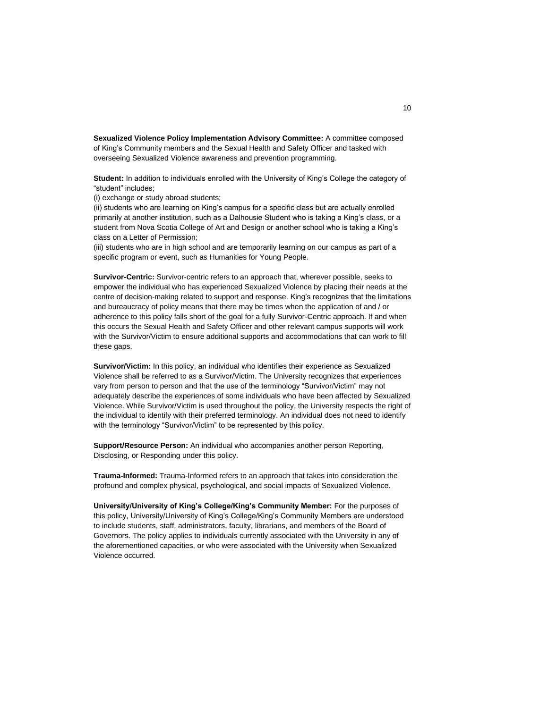**Sexualized Violence Policy Implementation Advisory Committee:** A committee composed of King's Community members and the Sexual Health and Safety Officer and tasked with overseeing Sexualized Violence awareness and prevention programming.

**Student:** In addition to individuals enrolled with the University of King's College the category of "student" includes;

(i) exchange or study abroad students;

(ii) students who are learning on King's campus for a specific class but are actually enrolled primarily at another institution, such as a Dalhousie Student who is taking a King's class, or a student from Nova Scotia College of Art and Design or another school who is taking a King's class on a Letter of Permission;

(iii) students who are in high school and are temporarily learning on our campus as part of a specific program or event, such as Humanities for Young People.

**Survivor-Centric:** Survivor-centric refers to an approach that, wherever possible, seeks to empower the individual who has experienced Sexualized Violence by placing their needs at the centre of decision-making related to support and response. King's recognizes that the limitations and bureaucracy of policy means that there may be times when the application of and / or adherence to this policy falls short of the goal for a fully Survivor-Centric approach. If and when this occurs the Sexual Health and Safety Officer and other relevant campus supports will work with the Survivor/Victim to ensure additional supports and accommodations that can work to fill these gaps.

**Survivor/Victim:** In this policy, an individual who identifies their experience as Sexualized Violence shall be referred to as a Survivor/Victim. The University recognizes that experiences vary from person to person and that the use of the terminology "Survivor/Victim" may not adequately describe the experiences of some individuals who have been affected by Sexualized Violence. While Survivor/Victim is used throughout the policy, the University respects the right of the individual to identify with their preferred terminology. An individual does not need to identify with the terminology "Survivor/Victim" to be represented by this policy.

**Support/Resource Person:** An individual who accompanies another person Reporting, Disclosing, or Responding under this policy.

**Trauma-Informed:** Trauma-Informed refers to an approach that takes into consideration the profound and complex physical, psychological, and social impacts of Sexualized Violence.

**University/University of King's College/King's Community Member:** For the purposes of this policy, University/University of King's College/King's Community Members are understood to include students, staff, administrators, faculty, librarians, and members of the Board of Governors. The policy applies to individuals currently associated with the University in any of the aforementioned capacities, or who were associated with the University when Sexualized Violence occurred.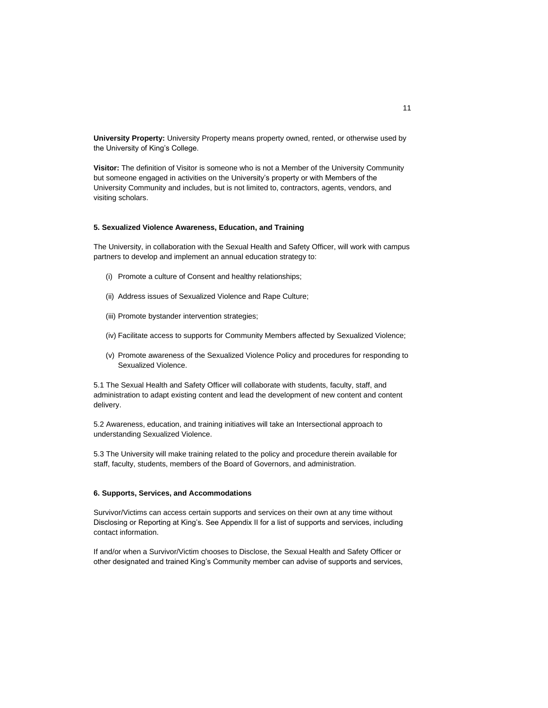**University Property:** University Property means property owned, rented, or otherwise used by the University of King's College.

**Visitor:** The definition of Visitor is someone who is not a Member of the University Community but someone engaged in activities on the University's property or with Members of the University Community and includes, but is not limited to, contractors, agents, vendors, and visiting scholars.

### **5. Sexualized Violence Awareness, Education, and Training**

The University, in collaboration with the Sexual Health and Safety Officer, will work with campus partners to develop and implement an annual education strategy to:

- (i) Promote a culture of Consent and healthy relationships;
- (ii) Address issues of Sexualized Violence and Rape Culture;
- (iii) Promote bystander intervention strategies;
- (iv) Facilitate access to supports for Community Members affected by Sexualized Violence;
- (v) Promote awareness of the Sexualized Violence Policy and procedures for responding to Sexualized Violence.

5.1 The Sexual Health and Safety Officer will collaborate with students, faculty, staff, and administration to adapt existing content and lead the development of new content and content delivery.

5.2 Awareness, education, and training initiatives will take an Intersectional approach to understanding Sexualized Violence.

5.3 The University will make training related to the policy and procedure therein available for staff, faculty, students, members of the Board of Governors, and administration.

### **6. Supports, Services, and Accommodations**

Survivor/Victims can access certain supports and services on their own at any time without Disclosing or Reporting at King's. See Appendix II for a list of supports and services, including contact information.

If and/or when a Survivor/Victim chooses to Disclose, the Sexual Health and Safety Officer or other designated and trained King's Community member can advise of supports and services,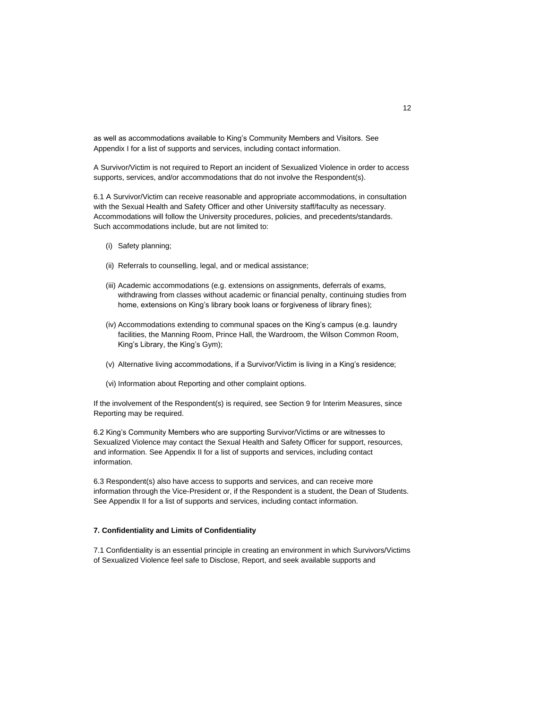as well as accommodations available to King's Community Members and Visitors. See Appendix I for a list of supports and services, including contact information.

A Survivor/Victim is not required to Report an incident of Sexualized Violence in order to access supports, services, and/or accommodations that do not involve the Respondent(s).

6.1 A Survivor/Victim can receive reasonable and appropriate accommodations, in consultation with the Sexual Health and Safety Officer and other University staff/faculty as necessary. Accommodations will follow the University procedures, policies, and precedents/standards. Such accommodations include, but are not limited to:

- (i) Safety planning;
- (ii) Referrals to counselling, legal, and or medical assistance;
- (iii) Academic accommodations (e.g. extensions on assignments, deferrals of exams, withdrawing from classes without academic or financial penalty, continuing studies from home, extensions on King's library book loans or forgiveness of library fines);
- (iv) Accommodations extending to communal spaces on the King's campus (e.g. laundry facilities, the Manning Room, Prince Hall, the Wardroom, the Wilson Common Room, King's Library, the King's Gym);
- (v) Alternative living accommodations, if a Survivor/Victim is living in a King's residence;
- (vi) Information about Reporting and other complaint options.

If the involvement of the Respondent(s) is required, see Section 9 for Interim Measures, since Reporting may be required.

6.2 King's Community Members who are supporting Survivor/Victims or are witnesses to Sexualized Violence may contact the Sexual Health and Safety Officer for support, resources, and information. See Appendix II for a list of supports and services, including contact information.

6.3 Respondent(s) also have access to supports and services, and can receive more information through the Vice-President or, if the Respondent is a student, the Dean of Students. See Appendix II for a list of supports and services, including contact information.

### **7. Confidentiality and Limits of Confidentiality**

7.1 Confidentiality is an essential principle in creating an environment in which Survivors/Victims of Sexualized Violence feel safe to Disclose, Report, and seek available supports and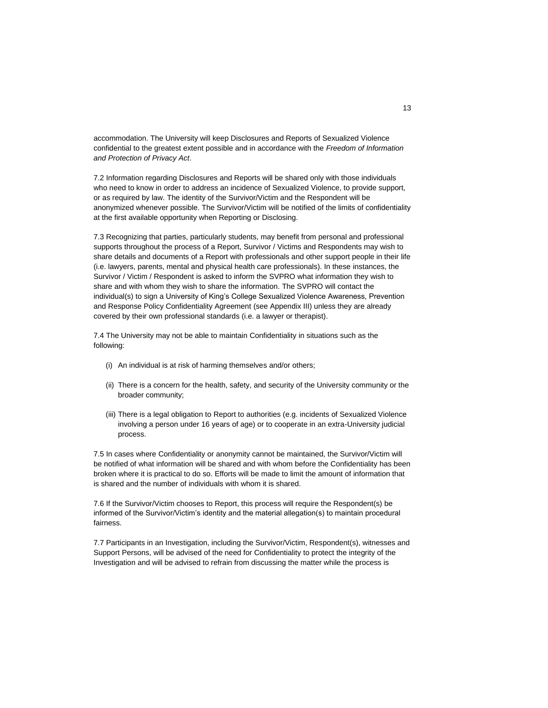accommodation. The University will keep Disclosures and Reports of Sexualized Violence confidential to the greatest extent possible and in accordance with the *Freedom of Information and Protection of Privacy Act*.

7.2 Information regarding Disclosures and Reports will be shared only with those individuals who need to know in order to address an incidence of Sexualized Violence, to provide support, or as required by law. The identity of the Survivor/Victim and the Respondent will be anonymized whenever possible. The Survivor/Victim will be notified of the limits of confidentiality at the first available opportunity when Reporting or Disclosing.

7.3 Recognizing that parties, particularly students, may benefit from personal and professional supports throughout the process of a Report, Survivor / Victims and Respondents may wish to share details and documents of a Report with professionals and other support people in their life (i.e. lawyers, parents, mental and physical health care professionals). In these instances, the Survivor / Victim / Respondent is asked to inform the SVPRO what information they wish to share and with whom they wish to share the information. The SVPRO will contact the individual(s) to sign a University of King's College Sexualized Violence Awareness, Prevention and Response Policy Confidentiality Agreement (see Appendix III) unless they are already covered by their own professional standards (i.e. a lawyer or therapist).

7.4 The University may not be able to maintain Confidentiality in situations such as the following:

- (i) An individual is at risk of harming themselves and/or others;
- (ii) There is a concern for the health, safety, and security of the University community or the broader community;
- (iii) There is a legal obligation to Report to authorities (e.g. incidents of Sexualized Violence involving a person under 16 years of age) or to cooperate in an extra-University judicial process.

7.5 In cases where Confidentiality or anonymity cannot be maintained, the Survivor/Victim will be notified of what information will be shared and with whom before the Confidentiality has been broken where it is practical to do so. Efforts will be made to limit the amount of information that is shared and the number of individuals with whom it is shared.

7.6 If the Survivor/Victim chooses to Report, this process will require the Respondent(s) be informed of the Survivor/Victim's identity and the material allegation(s) to maintain procedural fairness.

7.7 Participants in an Investigation, including the Survivor/Victim, Respondent(s), witnesses and Support Persons, will be advised of the need for Confidentiality to protect the integrity of the Investigation and will be advised to refrain from discussing the matter while the process is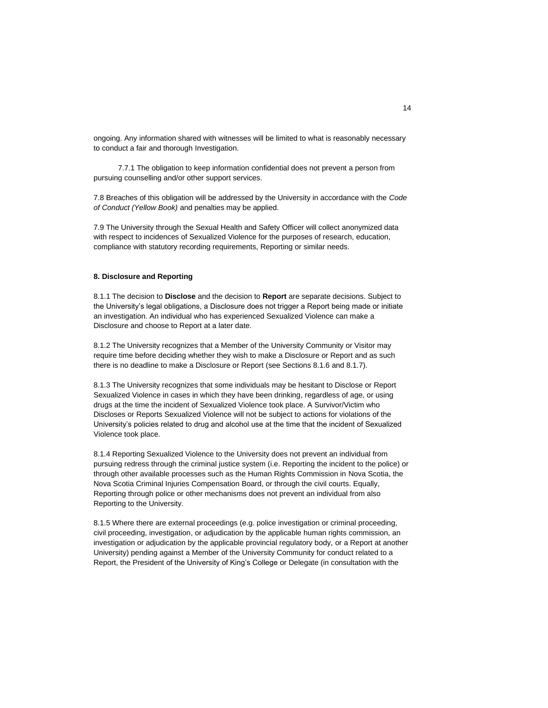ongoing. Any information shared with witnesses will be limited to what is reasonably necessary to conduct a fair and thorough Investigation.

7.7.1 The obligation to keep information confidential does not prevent a person from pursuing counselling and/or other support services.

7.8 Breaches of this obligation will be addressed by the University in accordance with the *Code of Conduct (Yellow Book)* and penalties may be applied.

7.9 The University through the Sexual Health and Safety Officer will collect anonymized data with respect to incidences of Sexualized Violence for the purposes of research, education, compliance with statutory recording requirements, Reporting or similar needs.

## **8. Disclosure and Reporting**

8.1.1 The decision to **Disclose** and the decision to **Report** are separate decisions. Subject to the University's legal obligations, a Disclosure does not trigger a Report being made or initiate an investigation. An individual who has experienced Sexualized Violence can make a Disclosure and choose to Report at a later date.

8.1.2 The University recognizes that a Member of the University Community or Visitor may require time before deciding whether they wish to make a Disclosure or Report and as such there is no deadline to make a Disclosure or Report (see Sections 8.1.6 and 8.1.7).

8.1.3 The University recognizes that some individuals may be hesitant to Disclose or Report Sexualized Violence in cases in which they have been drinking, regardless of age, or using drugs at the time the incident of Sexualized Violence took place. A Survivor/Victim who Discloses or Reports Sexualized Violence will not be subject to actions for violations of the University's policies related to drug and alcohol use at the time that the incident of Sexualized Violence took place.

8.1.4 Reporting Sexualized Violence to the University does not prevent an individual from pursuing redress through the criminal justice system (i.e. Reporting the incident to the police) or through other available processes such as the Human Rights Commission in Nova Scotia, the Nova Scotia Criminal Injuries Compensation Board, or through the civil courts. Equally, Reporting through police or other mechanisms does not prevent an individual from also Reporting to the University.

8.1.5 Where there are external proceedings (e.g. police investigation or criminal proceeding, civil proceeding, investigation, or adjudication by the applicable human rights commission, an investigation or adjudication by the applicable provincial regulatory body, or a Report at another University) pending against a Member of the University Community for conduct related to a Report, the President of the University of King's College or Delegate (in consultation with the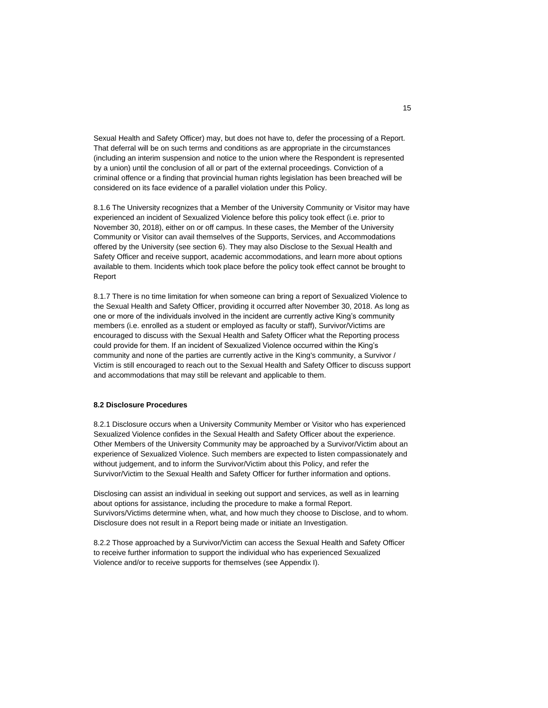Sexual Health and Safety Officer) may, but does not have to, defer the processing of a Report. That deferral will be on such terms and conditions as are appropriate in the circumstances (including an interim suspension and notice to the union where the Respondent is represented by a union) until the conclusion of all or part of the external proceedings. Conviction of a criminal offence or a finding that provincial human rights legislation has been breached will be considered on its face evidence of a parallel violation under this Policy.

8.1.6 The University recognizes that a Member of the University Community or Visitor may have experienced an incident of Sexualized Violence before this policy took effect (i.e. prior to November 30, 2018), either on or off campus. In these cases, the Member of the University Community or Visitor can avail themselves of the Supports, Services, and Accommodations offered by the University (see section 6). They may also Disclose to the Sexual Health and Safety Officer and receive support, academic accommodations, and learn more about options available to them. Incidents which took place before the policy took effect cannot be brought to Report

8.1.7 There is no time limitation for when someone can bring a report of Sexualized Violence to the Sexual Health and Safety Officer, providing it occurred after November 30, 2018. As long as one or more of the individuals involved in the incident are currently active King's community members (i.e. enrolled as a student or employed as faculty or staff), Survivor/Victims are encouraged to discuss with the Sexual Health and Safety Officer what the Reporting process could provide for them. If an incident of Sexualized Violence occurred within the King's community and none of the parties are currently active in the King's community, a Survivor / Victim is still encouraged to reach out to the Sexual Health and Safety Officer to discuss support and accommodations that may still be relevant and applicable to them.

### **8.2 Disclosure Procedures**

8.2.1 Disclosure occurs when a University Community Member or Visitor who has experienced Sexualized Violence confides in the Sexual Health and Safety Officer about the experience. Other Members of the University Community may be approached by a Survivor/Victim about an experience of Sexualized Violence. Such members are expected to listen compassionately and without judgement, and to inform the Survivor/Victim about this Policy, and refer the Survivor/Victim to the Sexual Health and Safety Officer for further information and options.

Disclosing can assist an individual in seeking out support and services, as well as in learning about options for assistance, including the procedure to make a formal Report. Survivors/Victims determine when, what, and how much they choose to Disclose, and to whom. Disclosure does not result in a Report being made or initiate an Investigation.

8.2.2 Those approached by a Survivor/Victim can access the Sexual Health and Safety Officer to receive further information to support the individual who has experienced Sexualized Violence and/or to receive supports for themselves (see Appendix I).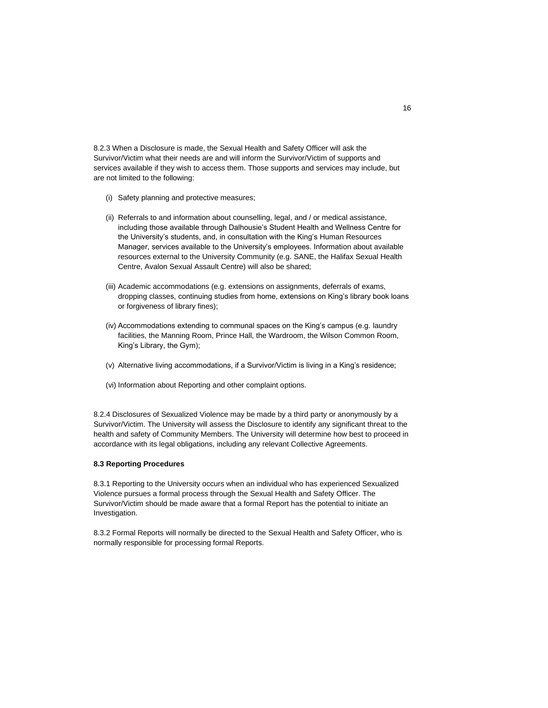8.2.3 When a Disclosure is made, the Sexual Health and Safety Officer will ask the Survivor/Victim what their needs are and will inform the Survivor/Victim of supports and services available if they wish to access them. Those supports and services may include, but are not limited to the following:

- (i) Safety planning and protective measures;
- (ii) Referrals to and information about counselling, legal, and / or medical assistance, including those available through Dalhousie's Student Health and Wellness Centre for the University's students, and, in consultation with the King's Human Resources Manager, services available to the University's employees. Information about available resources external to the University Community (e.g. SANE, the Halifax Sexual Health Centre, Avalon Sexual Assault Centre) will also be shared;
- (iii) Academic accommodations (e.g. extensions on assignments, deferrals of exams, dropping classes, continuing studies from home, extensions on King's library book loans or forgiveness of library fines);
- (iv) Accommodations extending to communal spaces on the King's campus (e.g. laundry facilities, the Manning Room, Prince Hall, the Wardroom, the Wilson Common Room, King's Library, the Gym);
- (v) Alternative living accommodations, if a Survivor/Victim is living in a King's residence;
- (vi) Information about Reporting and other complaint options.

8.2.4 Disclosures of Sexualized Violence may be made by a third party or anonymously by a Survivor/Victim. The University will assess the Disclosure to identify any significant threat to the health and safety of Community Members. The University will determine how best to proceed in accordance with its legal obligations, including any relevant Collective Agreements.

#### **8.3 Reporting Procedures**

8.3.1 Reporting to the University occurs when an individual who has experienced Sexualized Violence pursues a formal process through the Sexual Health and Safety Officer. The Survivor/Victim should be made aware that a formal Report has the potential to initiate an Investigation.

8.3.2 Formal Reports will normally be directed to the Sexual Health and Safety Officer, who is normally responsible for processing formal Reports.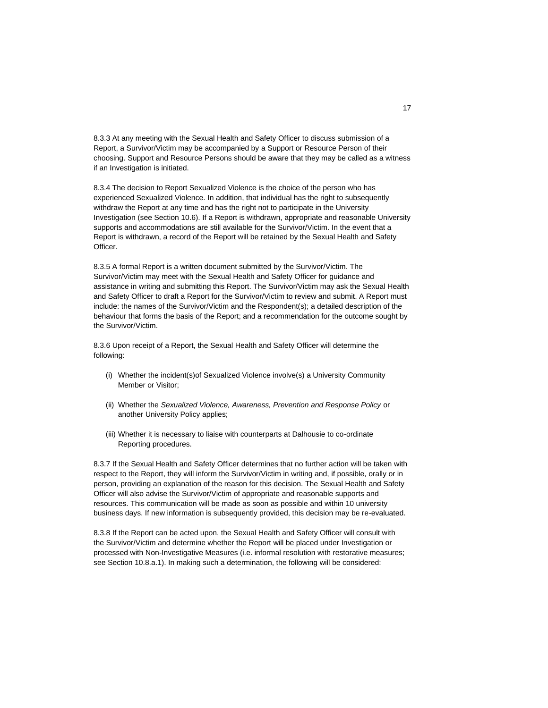8.3.3 At any meeting with the Sexual Health and Safety Officer to discuss submission of a Report, a Survivor/Victim may be accompanied by a Support or Resource Person of their choosing. Support and Resource Persons should be aware that they may be called as a witness if an Investigation is initiated.

8.3.4 The decision to Report Sexualized Violence is the choice of the person who has experienced Sexualized Violence. In addition, that individual has the right to subsequently withdraw the Report at any time and has the right not to participate in the University Investigation (see Section 10.6). If a Report is withdrawn, appropriate and reasonable University supports and accommodations are still available for the Survivor/Victim. In the event that a Report is withdrawn, a record of the Report will be retained by the Sexual Health and Safety Officer.

8.3.5 A formal Report is a written document submitted by the Survivor/Victim. The Survivor/Victim may meet with the Sexual Health and Safety Officer for guidance and assistance in writing and submitting this Report. The Survivor/Victim may ask the Sexual Health and Safety Officer to draft a Report for the Survivor/Victim to review and submit. A Report must include: the names of the Survivor/Victim and the Respondent(s); a detailed description of the behaviour that forms the basis of the Report; and a recommendation for the outcome sought by the Survivor/Victim.

8.3.6 Upon receipt of a Report, the Sexual Health and Safety Officer will determine the following:

- (i) Whether the incident(s)of Sexualized Violence involve(s) a University Community Member or Visitor;
- (ii) Whether the *Sexualized Violence, Awareness, Prevention and Response Policy* or another University Policy applies;
- (iii) Whether it is necessary to liaise with counterparts at Dalhousie to co-ordinate Reporting procedures.

8.3.7 If the Sexual Health and Safety Officer determines that no further action will be taken with respect to the Report, they will inform the Survivor/Victim in writing and, if possible, orally or in person, providing an explanation of the reason for this decision. The Sexual Health and Safety Officer will also advise the Survivor/Victim of appropriate and reasonable supports and resources. This communication will be made as soon as possible and within 10 university business days. If new information is subsequently provided, this decision may be re-evaluated.

8.3.8 If the Report can be acted upon, the Sexual Health and Safety Officer will consult with the Survivor/Victim and determine whether the Report will be placed under Investigation or processed with Non-Investigative Measures (i.e. informal resolution with restorative measures; see Section 10.8.a.1). In making such a determination, the following will be considered: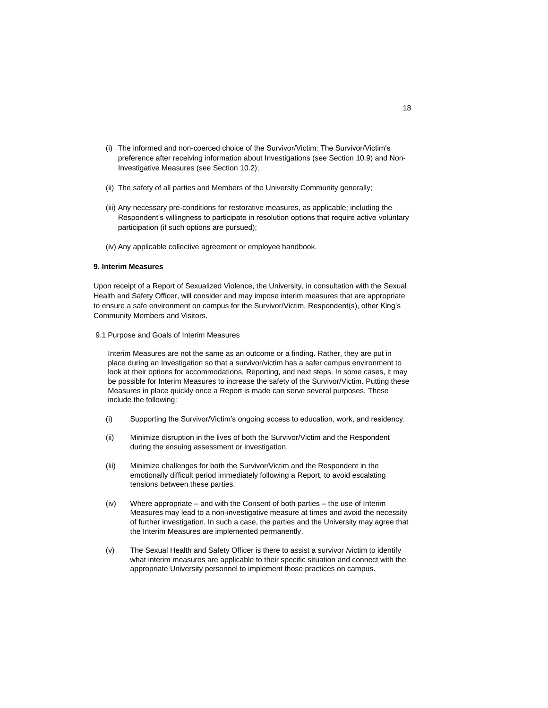- (i) The informed and non-coerced choice of the Survivor/Victim: The Survivor/Victim's preference after receiving information about Investigations (see Section 10.9) and Non-Investigative Measures (see Section 10.2);
- (ii) The safety of all parties and Members of the University Community generally;
- (iii) Any necessary pre-conditions for restorative measures, as applicable; including the Respondent's willingness to participate in resolution options that require active voluntary participation (if such options are pursued);
- (iv) Any applicable collective agreement or employee handbook.

## **9. Interim Measures**

Upon receipt of a Report of Sexualized Violence, the University, in consultation with the Sexual Health and Safety Officer, will consider and may impose interim measures that are appropriate to ensure a safe environment on campus for the Survivor/Victim, Respondent(s), other King's Community Members and Visitors.

9.1 Purpose and Goals of Interim Measures

Interim Measures are not the same as an outcome or a finding. Rather, they are put in place during an Investigation so that a survivor/victim has a safer campus environment to look at their options for accommodations, Reporting, and next steps. In some cases, it may be possible for Interim Measures to increase the safety of the Survivor/Victim. Putting these Measures in place quickly once a Report is made can serve several purposes. These include the following:

- (i) Supporting the Survivor/Victim's ongoing access to education, work, and residency.
- (ii) Minimize disruption in the lives of both the Survivor/Victim and the Respondent during the ensuing assessment or investigation.
- (iii) Minimize challenges for both the Survivor/Victim and the Respondent in the emotionally difficult period immediately following a Report, to avoid escalating tensions between these parties.
- (iv) Where appropriate and with the Consent of both parties the use of Interim Measures may lead to a non-investigative measure at times and avoid the necessity of further investigation. In such a case, the parties and the University may agree that the Interim Measures are implemented permanently.
- (v) The Sexual Health and Safety Officer is there to assist a survivor /victim to identify what interim measures are applicable to their specific situation and connect with the appropriate University personnel to implement those practices on campus.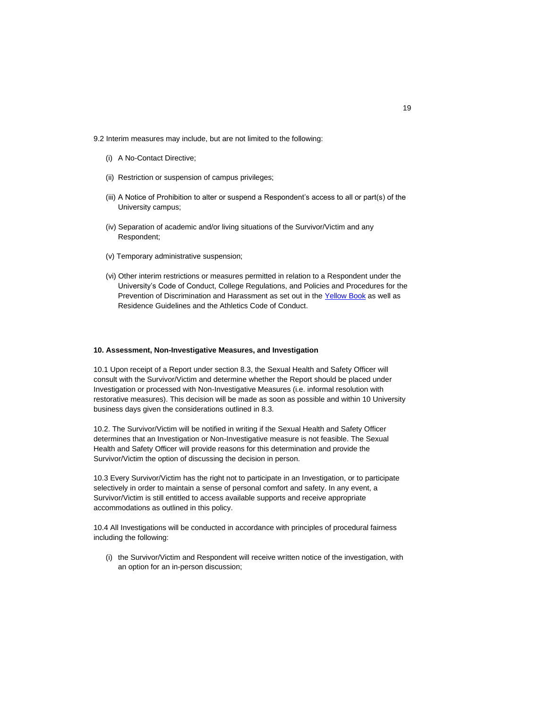9.2 Interim measures may include, but are not limited to the following:

- (i) A No-Contact Directive;
- (ii) Restriction or suspension of campus privileges;
- (iii) A Notice of Prohibition to alter or suspend a Respondent's access to all or part(s) of the University campus;
- (iv) Separation of academic and/or living situations of the Survivor/Victim and any Respondent;
- (v) Temporary administrative suspension;
- (vi) Other interim restrictions or measures permitted in relation to a Respondent under the University's Code of Conduct, College Regulations, and Policies and Procedures for the Prevention of Discrimination and Harassment as set out in the [Yellow Book](http://policies.ukings.ca/wp-content/uploads/2017/01/YellowBook.pdf),) as well as Residence Guidelines and the Athletics Code of Conduct.

### **10. Assessment, Non-Investigative Measures, and Investigation**

10.1 Upon receipt of a Report under section 8.3, the Sexual Health and Safety Officer will consult with the Survivor/Victim and determine whether the Report should be placed under Investigation or processed with Non-Investigative Measures (i.e. informal resolution with restorative measures). This decision will be made as soon as possible and within 10 University business days given the considerations outlined in 8.3.

10.2. The Survivor/Victim will be notified in writing if the Sexual Health and Safety Officer determines that an Investigation or Non-Investigative measure is not feasible. The Sexual Health and Safety Officer will provide reasons for this determination and provide the Survivor/Victim the option of discussing the decision in person.

10.3 Every Survivor/Victim has the right not to participate in an Investigation, or to participate selectively in order to maintain a sense of personal comfort and safety. In any event, a Survivor/Victim is still entitled to access available supports and receive appropriate accommodations as outlined in this policy.

10.4 All Investigations will be conducted in accordance with principles of procedural fairness including the following:

(i) the Survivor/Victim and Respondent will receive written notice of the investigation, with an option for an in-person discussion;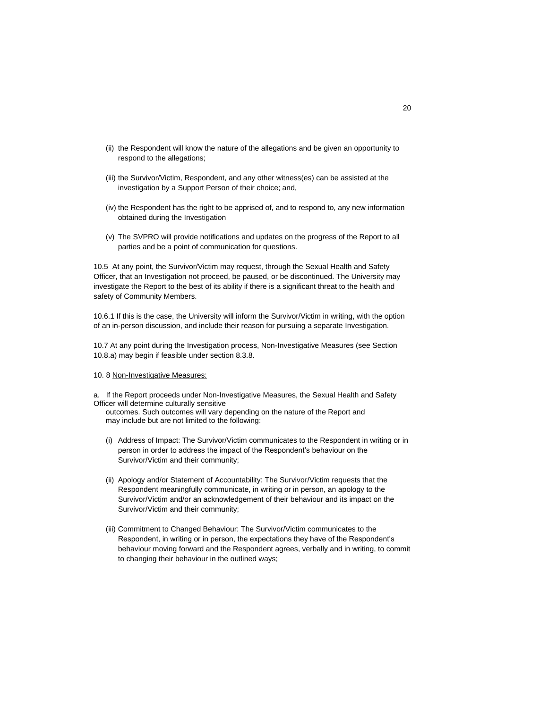- (ii) the Respondent will know the nature of the allegations and be given an opportunity to respond to the allegations;
- (iii) the Survivor/Victim, Respondent, and any other witness(es) can be assisted at the investigation by a Support Person of their choice; and,
- (iv) the Respondent has the right to be apprised of, and to respond to, any new information obtained during the Investigation
- (v) The SVPRO will provide notifications and updates on the progress of the Report to all parties and be a point of communication for questions.

10.5 At any point, the Survivor/Victim may request, through the Sexual Health and Safety Officer, that an Investigation not proceed, be paused, or be discontinued. The University may investigate the Report to the best of its ability if there is a significant threat to the health and safety of Community Members.

10.6.1 If this is the case, the University will inform the Survivor/Victim in writing, with the option of an in-person discussion, and include their reason for pursuing a separate Investigation.

10.7 At any point during the Investigation process, Non-Investigative Measures (see Section 10.8.a) may begin if feasible under section 8.3.8.

#### 10. 8 Non-Investigative Measures:

a. If the Report proceeds under Non-Investigative Measures, the Sexual Health and Safety Officer will determine culturally sensitive

outcomes. Such outcomes will vary depending on the nature of the Report and may include but are not limited to the following:

- (i) Address of Impact: The Survivor/Victim communicates to the Respondent in writing or in person in order to address the impact of the Respondent's behaviour on the Survivor/Victim and their community;
- (ii) Apology and/or Statement of Accountability: The Survivor/Victim requests that the Respondent meaningfully communicate, in writing or in person, an apology to the Survivor/Victim and/or an acknowledgement of their behaviour and its impact on the Survivor/Victim and their community;
- (iii) Commitment to Changed Behaviour: The Survivor/Victim communicates to the Respondent, in writing or in person, the expectations they have of the Respondent's behaviour moving forward and the Respondent agrees, verbally and in writing, to commit to changing their behaviour in the outlined ways;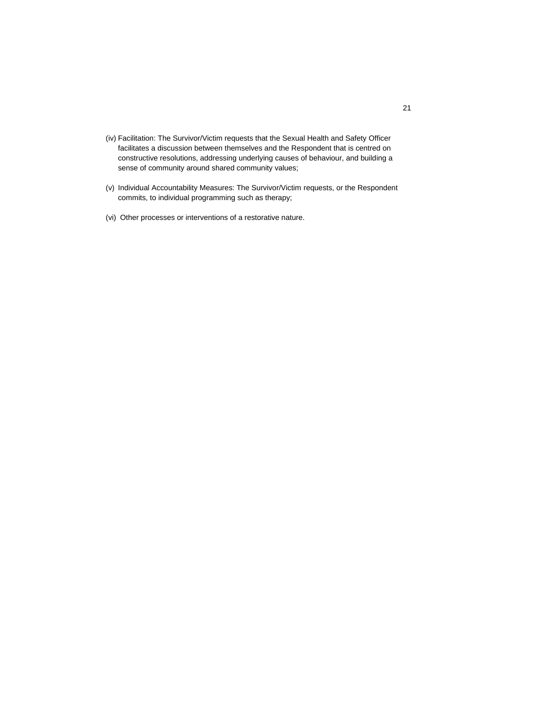- (iv) Facilitation: The Survivor/Victim requests that the Sexual Health and Safety Officer facilitates a discussion between themselves and the Respondent that is centred on constructive resolutions, addressing underlying causes of behaviour, and building a sense of community around shared community values;
- (v) Individual Accountability Measures: The Survivor/Victim requests, or the Respondent commits, to individual programming such as therapy;
- (vi) Other processes or interventions of a restorative nature.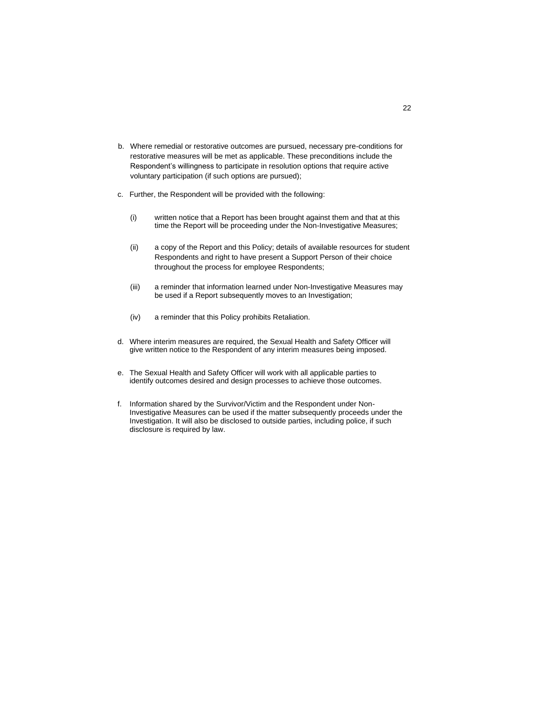- b. Where remedial or restorative outcomes are pursued, necessary pre-conditions for restorative measures will be met as applicable. These preconditions include the Respondent's willingness to participate in resolution options that require active voluntary participation (if such options are pursued);
- c. Further, the Respondent will be provided with the following:
	- (i) written notice that a Report has been brought against them and that at this time the Report will be proceeding under the Non-Investigative Measures;
	- (ii) a copy of the Report and this Policy; details of available resources for student Respondents and right to have present a Support Person of their choice throughout the process for employee Respondents;
	- (iii) a reminder that information learned under Non-Investigative Measures may be used if a Report subsequently moves to an Investigation;
	- (iv) a reminder that this Policy prohibits Retaliation.
- d. Where interim measures are required, the Sexual Health and Safety Officer will give written notice to the Respondent of any interim measures being imposed.
- e. The Sexual Health and Safety Officer will work with all applicable parties to identify outcomes desired and design processes to achieve those outcomes.
- f. Information shared by the Survivor/Victim and the Respondent under Non-Investigative Measures can be used if the matter subsequently proceeds under the Investigation. It will also be disclosed to outside parties, including police, if such disclosure is required by law.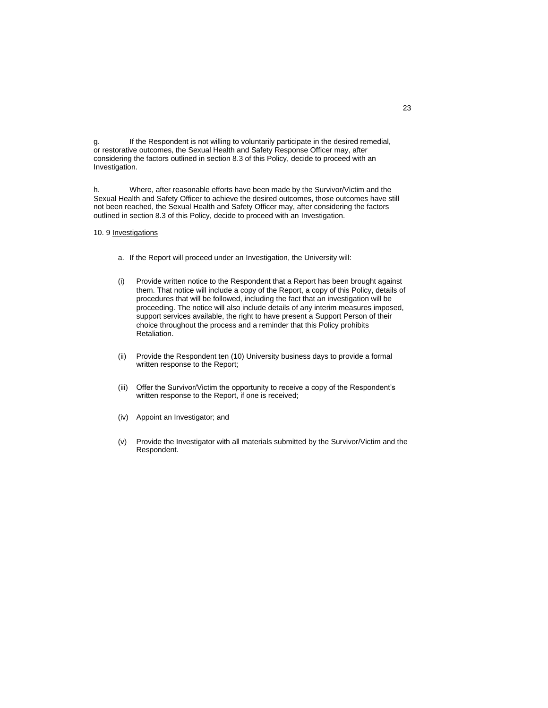g. If the Respondent is not willing to voluntarily participate in the desired remedial, or restorative outcomes, the Sexual Health and Safety Response Officer may, after considering the factors outlined in section 8.3 of this Policy, decide to proceed with an Investigation.

h. Where, after reasonable efforts have been made by the Survivor/Victim and the Sexual Health and Safety Officer to achieve the desired outcomes, those outcomes have still not been reached, the Sexual Health and Safety Officer may, after considering the factors outlined in section 8.3 of this Policy, decide to proceed with an Investigation.

10. 9 Investigations

- a. If the Report will proceed under an Investigation, the University will:
- (i) Provide written notice to the Respondent that a Report has been brought against them. That notice will include a copy of the Report, a copy of this Policy, details of procedures that will be followed, including the fact that an investigation will be proceeding. The notice will also include details of any interim measures imposed, support services available, the right to have present a Support Person of their choice throughout the process and a reminder that this Policy prohibits Retaliation.
- (ii) Provide the Respondent ten (10) University business days to provide a formal written response to the Report;
- (iii) Offer the Survivor/Victim the opportunity to receive a copy of the Respondent's written response to the Report, if one is received;
- (iv) Appoint an Investigator; and
- (v) Provide the Investigator with all materials submitted by the Survivor/Victim and the Respondent.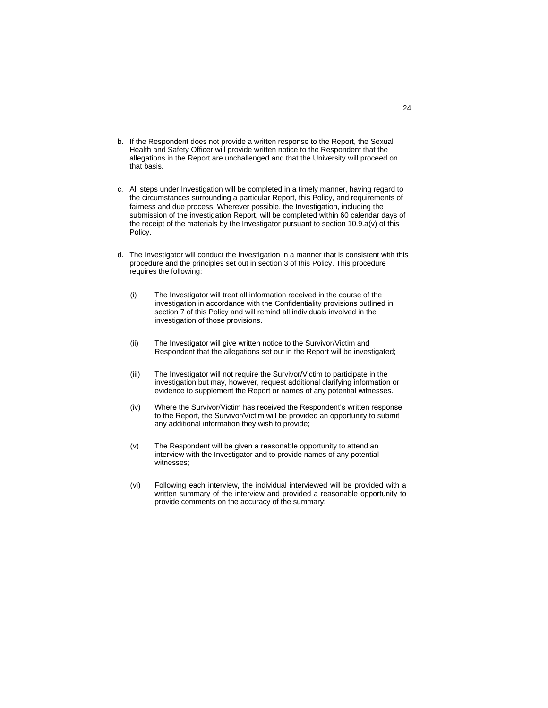- b. If the Respondent does not provide a written response to the Report, the Sexual Health and Safety Officer will provide written notice to the Respondent that the allegations in the Report are unchallenged and that the University will proceed on that basis.
- c. All steps under Investigation will be completed in a timely manner, having regard to the circumstances surrounding a particular Report, this Policy, and requirements of fairness and due process. Wherever possible, the Investigation, including the submission of the investigation Report, will be completed within 60 calendar days of the receipt of the materials by the Investigator pursuant to section 10.9.a(v) of this Policy.
- d. The Investigator will conduct the Investigation in a manner that is consistent with this procedure and the principles set out in section 3 of this Policy. This procedure requires the following:
	- (i) The Investigator will treat all information received in the course of the investigation in accordance with the Confidentiality provisions outlined in section 7 of this Policy and will remind all individuals involved in the investigation of those provisions.
	- (ii) The Investigator will give written notice to the Survivor/Victim and Respondent that the allegations set out in the Report will be investigated;
	- (iii) The Investigator will not require the Survivor/Victim to participate in the investigation but may, however, request additional clarifying information or evidence to supplement the Report or names of any potential witnesses.
	- (iv) Where the Survivor/Victim has received the Respondent's written response to the Report, the Survivor/Victim will be provided an opportunity to submit any additional information they wish to provide;
	- (v) The Respondent will be given a reasonable opportunity to attend an interview with the Investigator and to provide names of any potential witnesses;
	- (vi) Following each interview, the individual interviewed will be provided with a written summary of the interview and provided a reasonable opportunity to provide comments on the accuracy of the summary;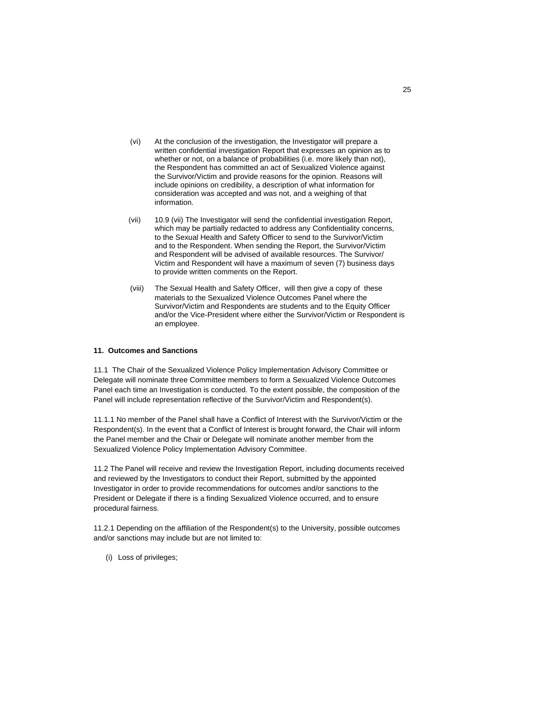- (vi) At the conclusion of the investigation, the Investigator will prepare a written confidential investigation Report that expresses an opinion as to whether or not, on a balance of probabilities (i.e. more likely than not), the Respondent has committed an act of Sexualized Violence against the Survivor/Victim and provide reasons for the opinion. Reasons will include opinions on credibility, a description of what information for consideration was accepted and was not, and a weighing of that information.
- (vii) 10.9 (vii) The Investigator will send the confidential investigation Report, which may be partially redacted to address any Confidentiality concerns, to the Sexual Health and Safety Officer to send to the Survivor/Victim and to the Respondent. When sending the Report, the Survivor/Victim and Respondent will be advised of available resources. The Survivor/ Victim and Respondent will have a maximum of seven (7) business days to provide written comments on the Report.
- (viii) The Sexual Health and Safety Officer, will then give a copy of these materials to the Sexualized Violence Outcomes Panel where the Survivor/Victim and Respondents are students and to the Equity Officer and/or the Vice-President where either the Survivor/Victim or Respondent is an employee.

### **11. Outcomes and Sanctions**

11.1 The Chair of the Sexualized Violence Policy Implementation Advisory Committee or Delegate will nominate three Committee members to form a Sexualized Violence Outcomes Panel each time an Investigation is conducted. To the extent possible, the composition of the Panel will include representation reflective of the Survivor/Victim and Respondent(s).

11.1.1 No member of the Panel shall have a Conflict of Interest with the Survivor/Victim or the Respondent(s). In the event that a Conflict of Interest is brought forward, the Chair will inform the Panel member and the Chair or Delegate will nominate another member from the Sexualized Violence Policy Implementation Advisory Committee.

11.2 The Panel will receive and review the Investigation Report, including documents received and reviewed by the Investigators to conduct their Report, submitted by the appointed Investigator in order to provide recommendations for outcomes and/or sanctions to the President or Delegate if there is a finding Sexualized Violence occurred, and to ensure procedural fairness.

11.2.1 Depending on the affiliation of the Respondent(s) to the University, possible outcomes and/or sanctions may include but are not limited to:

(i) Loss of privileges;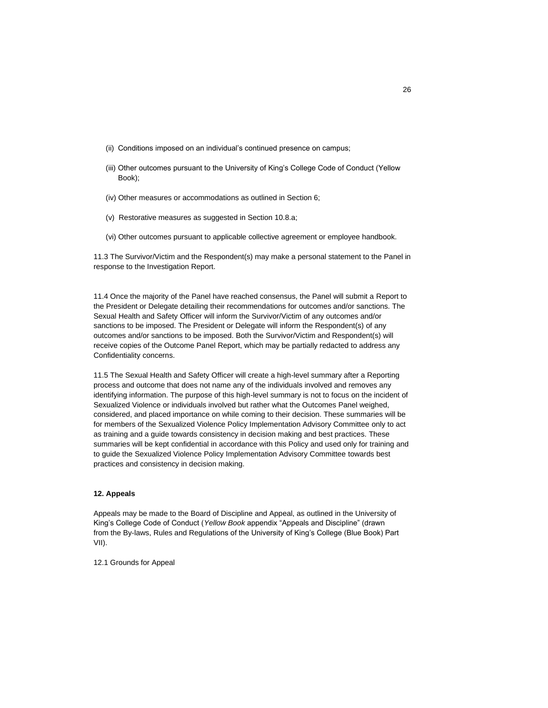- (ii) Conditions imposed on an individual's continued presence on campus;
- (iii) Other outcomes pursuant to the University of King's College Code of Conduct (Yellow Book);
- (iv) Other measures or accommodations as outlined in Section 6;
- (v) Restorative measures as suggested in Section 10.8.a;
- (vi) Other outcomes pursuant to applicable collective agreement or employee handbook.

11.3 The Survivor/Victim and the Respondent(s) may make a personal statement to the Panel in response to the Investigation Report.

11.4 Once the majority of the Panel have reached consensus, the Panel will submit a Report to the President or Delegate detailing their recommendations for outcomes and/or sanctions. The Sexual Health and Safety Officer will inform the Survivor/Victim of any outcomes and/or sanctions to be imposed. The President or Delegate will inform the Respondent(s) of any outcomes and/or sanctions to be imposed. Both the Survivor/Victim and Respondent(s) will receive copies of the Outcome Panel Report, which may be partially redacted to address any Confidentiality concerns.

11.5 The Sexual Health and Safety Officer will create a high-level summary after a Reporting process and outcome that does not name any of the individuals involved and removes any identifying information. The purpose of this high-level summary is not to focus on the incident of Sexualized Violence or individuals involved but rather what the Outcomes Panel weighed, considered, and placed importance on while coming to their decision. These summaries will be for members of the Sexualized Violence Policy Implementation Advisory Committee only to act as training and a guide towards consistency in decision making and best practices. These summaries will be kept confidential in accordance with this Policy and used only for training and to guide the Sexualized Violence Policy Implementation Advisory Committee towards best practices and consistency in decision making.

## **12. Appeals**

Appeals may be made to the Board of Discipline and Appeal, as outlined in the University of King's College Code of Conduct (*Yellow Book* appendix "Appeals and Discipline" (drawn from the By-laws, Rules and Regulations of the University of King's College (Blue Book) Part VII).

12.1 Grounds for Appeal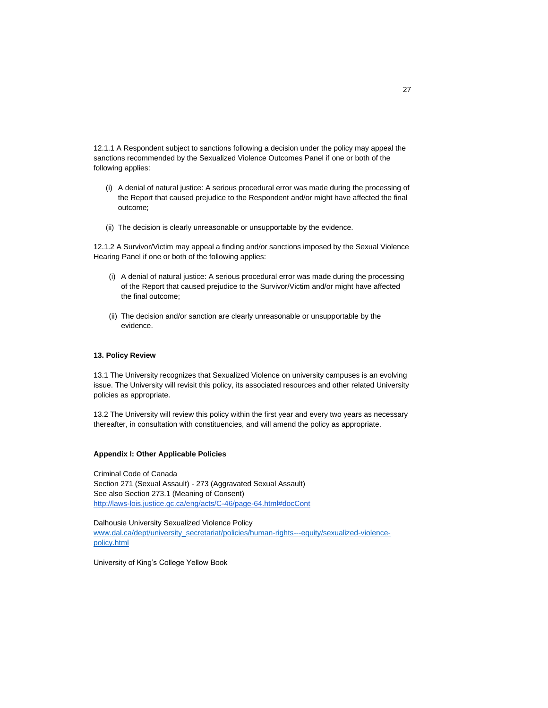12.1.1 A Respondent subject to sanctions following a decision under the policy may appeal the sanctions recommended by the Sexualized Violence Outcomes Panel if one or both of the following applies:

- (i) A denial of natural justice: A serious procedural error was made during the processing of the Report that caused prejudice to the Respondent and/or might have affected the final outcome;
- (ii) The decision is clearly unreasonable or unsupportable by the evidence.

12.1.2 A Survivor/Victim may appeal a finding and/or sanctions imposed by the Sexual Violence Hearing Panel if one or both of the following applies:

- (i) A denial of natural justice: A serious procedural error was made during the processing of the Report that caused prejudice to the Survivor/Victim and/or might have affected the final outcome;
- (ii) The decision and/or sanction are clearly unreasonable or unsupportable by the evidence.

### **13. Policy Review**

13.1 The University recognizes that Sexualized Violence on university campuses is an evolving issue. The University will revisit this policy, its associated resources and other related University policies as appropriate.

13.2 The University will review this policy within the first year and every two years as necessary thereafter, in consultation with constituencies, and will amend the policy as appropriate.

## **Appendix I: Other Applicable Policies**

Criminal Code of Canada Section 271 (Sexual Assault) - 273 (Aggravated Sexual Assault) See also Section 273.1 (Meaning of Consent) [http://laws-lois.justice.gc.ca/eng/acts/C-46/page-64.htm](http://laws-lois.justice.gc.ca/eng/acts/C-46/page-64.html#docCont)l#docCont

Dalhousie University Sexualized Violence Policy [www.dal.ca/dept/university\\_secretariat/policies/human-rights---equity/sexualized-vio](http://www.dal.ca/dept/university_secretariat/policies/human-rights---equity/sexualized-violence-policy.html)lencepolicy.html

University of King's College Yellow Book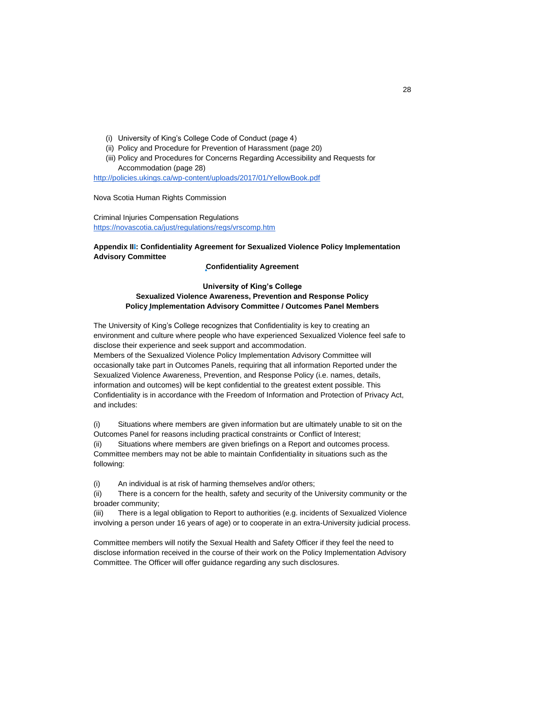- (i) University of King's College Code of Conduct (page 4)
- (ii) Policy and Procedure for Prevention of Harassment (page 20)
- (iii) Policy and Procedures for Concerns Regarding Accessibility and Requests for Accommodation (page 28)

[http://policies.ukings.ca/wp-content/uploads/2017/01/Yell](http://policies.ukings.ca/wp-content/uploads/2017/01/YellowBook.pdf)owBook.pdf

Nova Scotia Human Rights Commission

Criminal Injuries Compensation Regulations [https://novascotia.ca/just/regulations/regs/v](https://novascotia.ca/just/regulations/regs/vrscomp.htm)rscomp.htm

## **Appendix III: Confidentiality Agreement for Sexualized Violence Policy Implementation Advisory Committee**

## **Confidentiality Agreement**

## **University of King's College Sexualized Violence Awareness, Prevention and Response Policy Policy Implementation Advisory Committee / Outcomes Panel Members**

The University of King's College recognizes that Confidentiality is key to creating an environment and culture where people who have experienced Sexualized Violence feel safe to disclose their experience and seek support and accommodation.

Members of the Sexualized Violence Policy Implementation Advisory Committee will occasionally take part in Outcomes Panels, requiring that all information Reported under the Sexualized Violence Awareness, Prevention, and Response Policy (i.e. names, details, information and outcomes) will be kept confidential to the greatest extent possible. This Confidentiality is in accordance with the Freedom of Information and Protection of Privacy Act, and includes:

(i) Situations where members are given information but are ultimately unable to sit on the Outcomes Panel for reasons including practical constraints or Conflict of Interest;

(ii) Situations where members are given briefings on a Report and outcomes process. Committee members may not be able to maintain Confidentiality in situations such as the following:

(i) An individual is at risk of harming themselves and/or others;

(ii) There is a concern for the health, safety and security of the University community or the broader community;

(iii) There is a legal obligation to Report to authorities (e.g. incidents of Sexualized Violence involving a person under 16 years of age) or to cooperate in an extra-University judicial process.

Committee members will notify the Sexual Health and Safety Officer if they feel the need to disclose information received in the course of their work on the Policy Implementation Advisory Committee. The Officer will offer guidance regarding any such disclosures.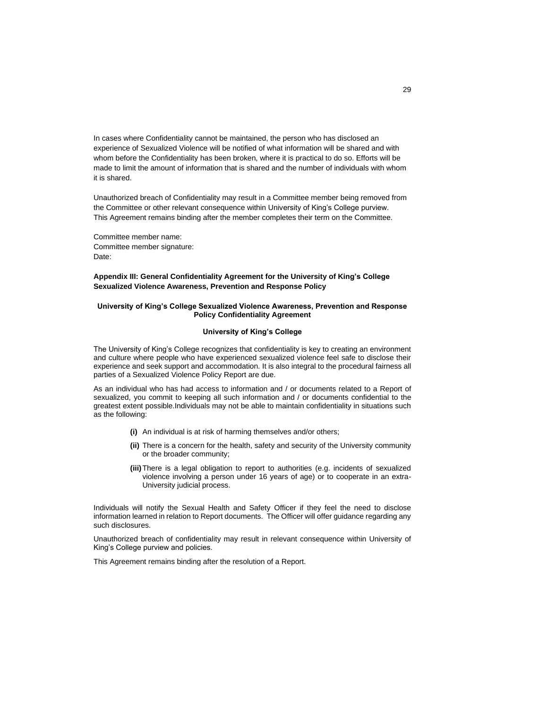In cases where Confidentiality cannot be maintained, the person who has disclosed an experience of Sexualized Violence will be notified of what information will be shared and with whom before the Confidentiality has been broken, where it is practical to do so. Efforts will be made to limit the amount of information that is shared and the number of individuals with whom it is shared.

Unauthorized breach of Confidentiality may result in a Committee member being removed from the Committee or other relevant consequence within University of King's College purview. This Agreement remains binding after the member completes their term on the Committee.

Committee member name: Committee member signature: Date:

## **Appendix III: General Confidentiality Agreement for the University of King's College Sexualized Violence Awareness, Prevention and Response Policy**

#### **University of King's College Sexualized Violence Awareness, Prevention and Response Policy Confidentiality Agreement**

#### **University of King's College**

The University of King's College recognizes that confidentiality is key to creating an environment and culture where people who have experienced sexualized violence feel safe to disclose their experience and seek support and accommodation. It is also integral to the procedural fairness all parties of a Sexualized Violence Policy Report are due.

As an individual who has had access to information and / or documents related to a Report of sexualized, you commit to keeping all such information and / or documents confidential to the greatest extent possible.Individuals may not be able to maintain confidentiality in situations such as the following:

- **(i)** An individual is at risk of harming themselves and/or others;
- **(ii)** There is a concern for the health, safety and security of the University community or the broader community;
- **(iii)**There is a legal obligation to report to authorities (e.g. incidents of sexualized violence involving a person under 16 years of age) or to cooperate in an extra-University judicial process.

Individuals will notify the Sexual Health and Safety Officer if they feel the need to disclose information learned in relation to Report documents. The Officer will offer guidance regarding any such disclosures.

Unauthorized breach of confidentiality may result in relevant consequence within University of King's College purview and policies.

This Agreement remains binding after the resolution of a Report.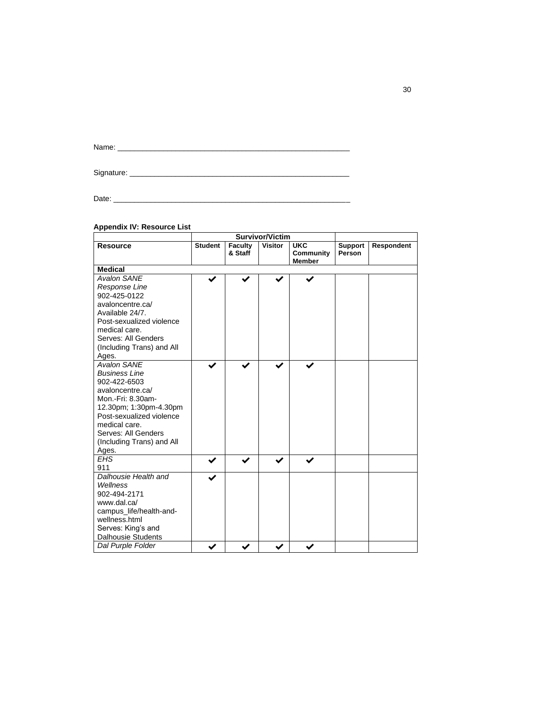Name: \_\_\_\_\_\_\_\_\_\_\_\_\_\_\_\_\_\_\_\_\_\_\_\_\_\_\_\_\_\_\_\_\_\_\_\_\_\_\_\_\_\_\_\_\_\_\_\_\_\_\_\_\_\_\_\_

Signature: \_\_\_\_\_\_\_\_\_\_\_\_\_\_\_\_\_\_\_\_\_\_\_\_\_\_\_\_\_\_\_\_\_\_\_\_\_\_\_\_\_\_\_\_\_\_\_\_\_\_\_\_\_

Date: \_\_\_\_\_\_\_\_\_\_\_\_\_\_\_\_\_\_\_\_\_\_\_\_\_\_\_\_\_\_\_\_\_\_\_\_\_\_\_\_\_\_\_\_\_\_\_\_\_\_\_\_\_\_\_\_\_

# **Appendix IV: Resource List**

| <b>Appendix IV: Resource List</b>                                                                                                                                                                                                       |                |                    | <b>Survivor/Victim</b> |                                          |                          |            |
|-----------------------------------------------------------------------------------------------------------------------------------------------------------------------------------------------------------------------------------------|----------------|--------------------|------------------------|------------------------------------------|--------------------------|------------|
|                                                                                                                                                                                                                                         |                |                    |                        |                                          |                          |            |
| <b>Resource</b>                                                                                                                                                                                                                         | <b>Student</b> | Faculty<br>& Staff | <b>Visitor</b>         | <b>UKC</b><br>Community<br><b>Member</b> | <b>Support</b><br>Person | Respondent |
| <b>Medical</b>                                                                                                                                                                                                                          |                |                    |                        |                                          |                          |            |
| <b>Avalon SANE</b><br>Response Line<br>902-425-0122<br>avaloncentre.ca/<br>Available 24/7.<br>Post-sexualized violence<br>medical care.<br>Serves: All Genders<br>(Including Trans) and All<br>Ages.                                    |                |                    |                        | ✔                                        |                          |            |
| <b>Avalon SANE</b><br><b>Business Line</b><br>902-422-6503<br>avaloncentre.ca/<br>Mon.-Fri: 8.30am-<br>12.30pm; 1:30pm-4.30pm<br>Post-sexualized violence<br>medical care.<br>Serves: All Genders<br>(Including Trans) and All<br>Ages. |                |                    |                        |                                          |                          |            |
| <b>EHS</b><br>911                                                                                                                                                                                                                       |                |                    |                        |                                          |                          |            |
| Dalhousie Health and<br>Wellness<br>902-494-2171<br>www.dal.ca/<br>campus_life/health-and-<br>wellness.html<br>Serves: King's and<br><b>Dalhousie Students</b>                                                                          |                |                    |                        |                                          |                          |            |
| Dal Purple Folder                                                                                                                                                                                                                       |                |                    |                        |                                          |                          |            |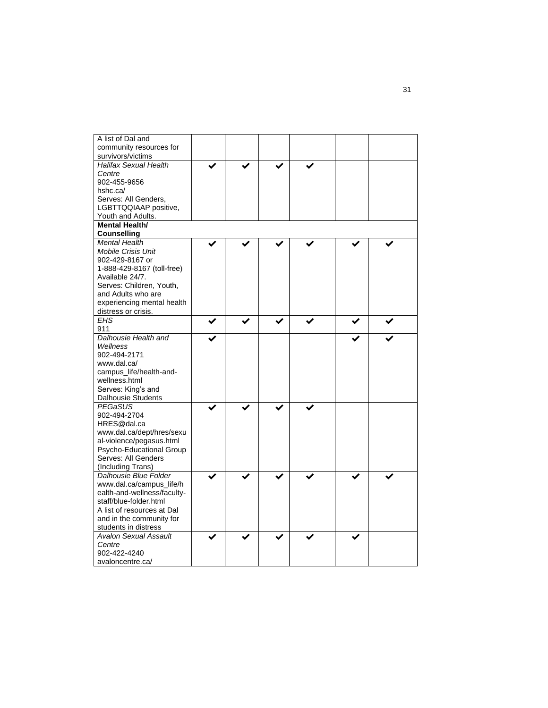| A list of Dal and                 |  |  |  |  |
|-----------------------------------|--|--|--|--|
| community resources for           |  |  |  |  |
| survivors/victims                 |  |  |  |  |
| <b>Halifax Sexual Health</b>      |  |  |  |  |
| Centre                            |  |  |  |  |
| 902-455-9656                      |  |  |  |  |
| hshc.ca/                          |  |  |  |  |
| Serves: All Genders,              |  |  |  |  |
| LGBTTQQIAAP positive,             |  |  |  |  |
| Youth and Adults.                 |  |  |  |  |
| <b>Mental Health/</b>             |  |  |  |  |
| <b>Counselling</b>                |  |  |  |  |
| <b>Mental Health</b>              |  |  |  |  |
| <b>Mobile Crisis Unit</b>         |  |  |  |  |
| 902-429-8167 or                   |  |  |  |  |
| 1-888-429-8167 (toll-free)        |  |  |  |  |
| Available 24/7.                   |  |  |  |  |
|                                   |  |  |  |  |
| Serves: Children, Youth,          |  |  |  |  |
| and Adults who are                |  |  |  |  |
| experiencing mental health        |  |  |  |  |
| distress or crisis.<br><b>EHS</b> |  |  |  |  |
|                                   |  |  |  |  |
| 911                               |  |  |  |  |
| Dalhousie Health and              |  |  |  |  |
| Wellness                          |  |  |  |  |
| 902-494-2171                      |  |  |  |  |
| www.dal.ca/                       |  |  |  |  |
| campus_life/health-and-           |  |  |  |  |
| wellness.html                     |  |  |  |  |
| Serves: King's and                |  |  |  |  |
| <b>Dalhousie Students</b>         |  |  |  |  |
| PEGaSUS                           |  |  |  |  |
| 902-494-2704                      |  |  |  |  |
| HRES@dal.ca                       |  |  |  |  |
| www.dal.ca/dept/hres/sexu         |  |  |  |  |
| al-violence/pegasus.html          |  |  |  |  |
| Psycho-Educational Group          |  |  |  |  |
| Serves: All Genders               |  |  |  |  |
| (Including Trans)                 |  |  |  |  |
| Dalhousie Blue Folder             |  |  |  |  |
| www.dal.ca/campus_life/h          |  |  |  |  |
| ealth-and-wellness/faculty-       |  |  |  |  |
| staff/blue-folder.html            |  |  |  |  |
| A list of resources at Dal        |  |  |  |  |
| and in the community for          |  |  |  |  |
| students in distress              |  |  |  |  |
| <b>Avalon Sexual Assault</b>      |  |  |  |  |
| Centre                            |  |  |  |  |
| 902-422-4240                      |  |  |  |  |
| avaloncentre.ca/                  |  |  |  |  |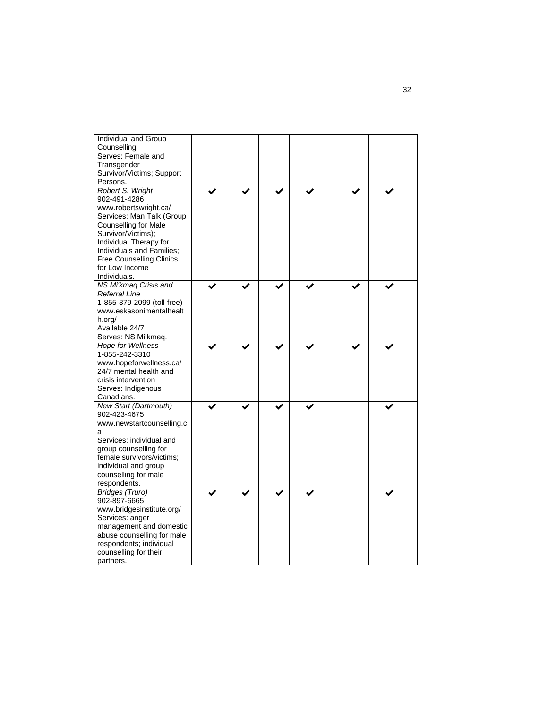| Individual and Group<br>Counselling<br>Serves: Female and<br>Transgender<br>Survivor/Victims; Support<br>Persons.                                                                                                                                                       |  |  |  |
|-------------------------------------------------------------------------------------------------------------------------------------------------------------------------------------------------------------------------------------------------------------------------|--|--|--|
| Robert S. Wright<br>902-491-4286<br>www.robertswright.ca/<br>Services: Man Talk (Group<br><b>Counselling for Male</b><br>Survivor/Victims);<br>Individual Therapy for<br>Individuals and Families;<br><b>Free Counselling Clinics</b><br>for Low Income<br>Individuals. |  |  |  |
| NS Mi'kmaq Crisis and<br>Referral Line<br>1-855-379-2099 (toll-free)<br>www.eskasonimentalhealt<br>h.org/<br>Available 24/7<br>Serves: NS Mi'kmaq.                                                                                                                      |  |  |  |
| <b>Hope for Wellness</b><br>1-855-242-3310<br>www.hopeforwellness.ca/<br>24/7 mental health and<br>crisis intervention<br>Serves: Indigenous<br>Canadians.                                                                                                              |  |  |  |
| New Start (Dartmouth)<br>902-423-4675<br>www.newstartcounselling.c<br>а<br>Services: individual and<br>group counselling for<br>female survivors/victims:<br>individual and group<br>counselling for male<br>respondents.                                               |  |  |  |
| Bridges (Truro)<br>902-897-6665<br>www.bridgesinstitute.org/<br>Services: anger<br>management and domestic<br>abuse counselling for male<br>respondents; individual<br>counselling for their<br>partners.                                                               |  |  |  |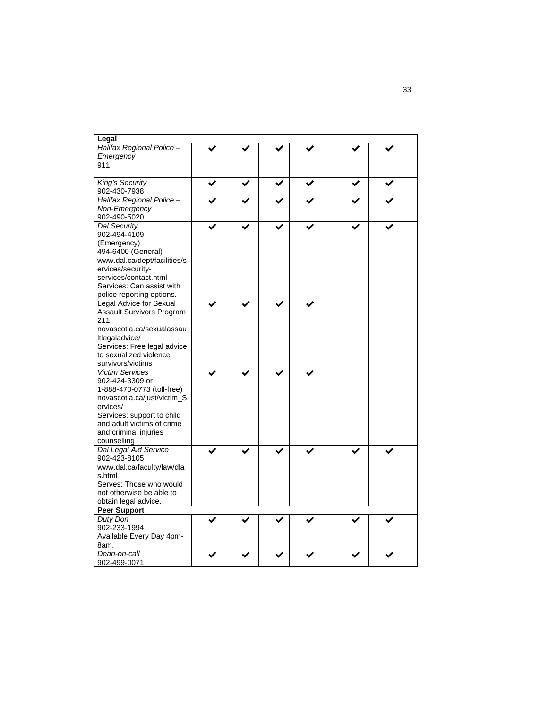| Legal                                                                                                                                                                                                                  |  |  |  |
|------------------------------------------------------------------------------------------------------------------------------------------------------------------------------------------------------------------------|--|--|--|
| Halifax Regional Police -<br>Emergency<br>911                                                                                                                                                                          |  |  |  |
| King's Security<br>902-430-7938                                                                                                                                                                                        |  |  |  |
| Halifax Regional Police -<br>Non-Emergency<br>902-490-5020                                                                                                                                                             |  |  |  |
| Dal Security<br>902-494-4109<br>(Emergency)<br>494-6400 (General)<br>www.dal.ca/dept/facilities/s<br>ervices/security-<br>services/contact.html<br>Services: Can assist with<br>police reporting options.              |  |  |  |
| Legal Advice for Sexual<br>Assault Survivors Program<br>211<br>novascotia.ca/sexualassau<br>Itlegaladvice/<br>Services: Free legal advice<br>to sexualized violence<br>survivors/victims                               |  |  |  |
| <b>Victim Services</b><br>902-424-3309 or<br>1-888-470-0773 (toll-free)<br>novascotia.ca/just/victim_S<br>ervices/<br>Services: support to child<br>and adult victims of crime<br>and criminal injuries<br>counselling |  |  |  |
| Dal Legal Aid Service<br>902-423-8105<br>www.dal.ca/faculty/law/dla<br>s.html<br>Serves: Those who would<br>not otherwise be able to<br>obtain legal advice.                                                           |  |  |  |
| <b>Peer Support</b>                                                                                                                                                                                                    |  |  |  |
| Duty Don<br>902-233-1994<br>Available Every Day 4pm-<br>8am.                                                                                                                                                           |  |  |  |
| Dean-on-call<br>902-499-0071                                                                                                                                                                                           |  |  |  |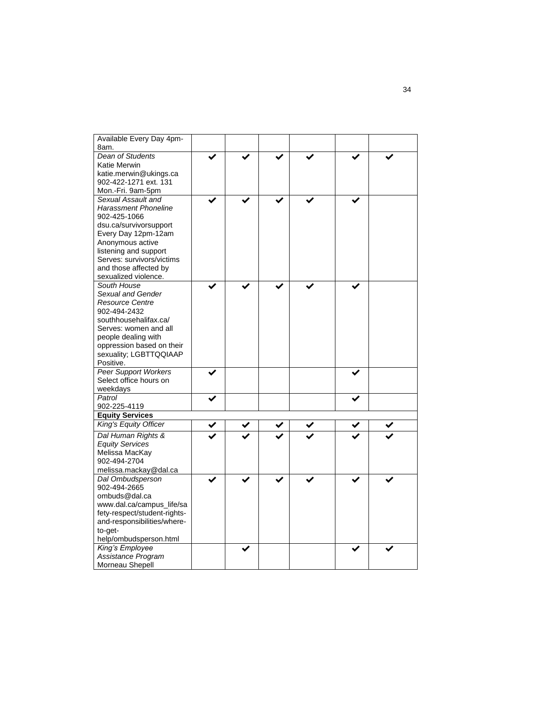| Available Every Day 4pm-               |  |  |  |
|----------------------------------------|--|--|--|
| 8am.                                   |  |  |  |
| Dean of Students                       |  |  |  |
| Katie Merwin                           |  |  |  |
| katie.merwin@ukings.ca                 |  |  |  |
| 902-422-1271 ext. 131                  |  |  |  |
| Mon.-Fri. 9am-5pm                      |  |  |  |
| Sexual Assault and                     |  |  |  |
| <b>Harassment Phoneline</b>            |  |  |  |
| 902-425-1066                           |  |  |  |
| dsu.ca/survivorsupport                 |  |  |  |
| Every Day 12pm-12am                    |  |  |  |
| Anonymous active                       |  |  |  |
| listening and support                  |  |  |  |
| Serves: survivors/victims              |  |  |  |
| and those affected by                  |  |  |  |
| sexualized violence.                   |  |  |  |
| South House                            |  |  |  |
| Sexual and Gender                      |  |  |  |
| <b>Resource Centre</b><br>902-494-2432 |  |  |  |
| southhousehalifax.ca/                  |  |  |  |
| Serves: women and all                  |  |  |  |
| people dealing with                    |  |  |  |
| oppression based on their              |  |  |  |
| sexuality; LGBTTQQIAAP                 |  |  |  |
| Positive.                              |  |  |  |
| <b>Peer Support Workers</b>            |  |  |  |
| Select office hours on                 |  |  |  |
| weekdays                               |  |  |  |
| Patrol                                 |  |  |  |
| 902-225-4119                           |  |  |  |
| <b>Equity Services</b>                 |  |  |  |
| King's Equity Officer                  |  |  |  |
| Dal Human Rights &                     |  |  |  |
| <b>Equity Services</b>                 |  |  |  |
| Melissa MacKay                         |  |  |  |
| 902-494-2704                           |  |  |  |
| melissa.mackay@dal.ca                  |  |  |  |
| Dal Ombudsperson                       |  |  |  |
| 902-494-2665                           |  |  |  |
| ombuds@dal.ca                          |  |  |  |
| www.dal.ca/campus_life/sa              |  |  |  |
| fety-respect/student-rights-           |  |  |  |
| and-responsibilities/where-            |  |  |  |
| to-get-                                |  |  |  |
| help/ombudsperson.html                 |  |  |  |
| King's Employee<br>Assistance Program  |  |  |  |
|                                        |  |  |  |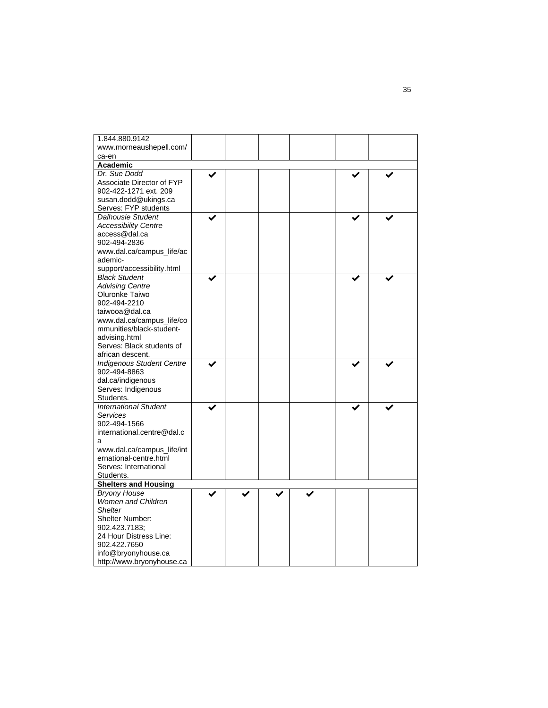| 1.844.880.9142                   |  |  |  |
|----------------------------------|--|--|--|
| www.morneaushepell.com/          |  |  |  |
| ca-en                            |  |  |  |
| Academic                         |  |  |  |
| Dr. Sue Dodd                     |  |  |  |
| Associate Director of FYP        |  |  |  |
| 902-422-1271 ext. 209            |  |  |  |
| susan.dodd@ukings.ca             |  |  |  |
| Serves: FYP students             |  |  |  |
| <b>Dalhousie Student</b>         |  |  |  |
| <b>Accessibility Centre</b>      |  |  |  |
| access@dal.ca                    |  |  |  |
| 902-494-2836                     |  |  |  |
| www.dal.ca/campus_life/ac        |  |  |  |
| ademic-                          |  |  |  |
| support/accessibility.html       |  |  |  |
| <b>Black Student</b>             |  |  |  |
| <b>Advising Centre</b>           |  |  |  |
| Oluronke Taiwo                   |  |  |  |
| 902-494-2210                     |  |  |  |
| taiwooa@dal.ca                   |  |  |  |
| www.dal.ca/campus_life/co        |  |  |  |
| mmunities/black-student-         |  |  |  |
| advising.html                    |  |  |  |
| Serves: Black students of        |  |  |  |
| african descent.                 |  |  |  |
| <b>Indigenous Student Centre</b> |  |  |  |
| 902-494-8863                     |  |  |  |
| dal.ca/indigenous                |  |  |  |
|                                  |  |  |  |
| Serves: Indigenous<br>Students.  |  |  |  |
|                                  |  |  |  |
| <b>International Student</b>     |  |  |  |
| Services                         |  |  |  |
| 902-494-1566                     |  |  |  |
| international.centre@dal.c       |  |  |  |
| a                                |  |  |  |
| www.dal.ca/campus_life/int       |  |  |  |
| ernational-centre.html           |  |  |  |
| Serves: International            |  |  |  |
| Students.                        |  |  |  |
| <b>Shelters and Housing</b>      |  |  |  |
| <b>Bryony House</b>              |  |  |  |
| <b>Women and Children</b>        |  |  |  |
| <b>Shelter</b>                   |  |  |  |
| Shelter Number:                  |  |  |  |
| 902.423.7183;                    |  |  |  |
| 24 Hour Distress Line:           |  |  |  |
| 902.422.7650                     |  |  |  |
| info@bryonyhouse.ca              |  |  |  |
| http://www.bryonyhouse.ca        |  |  |  |